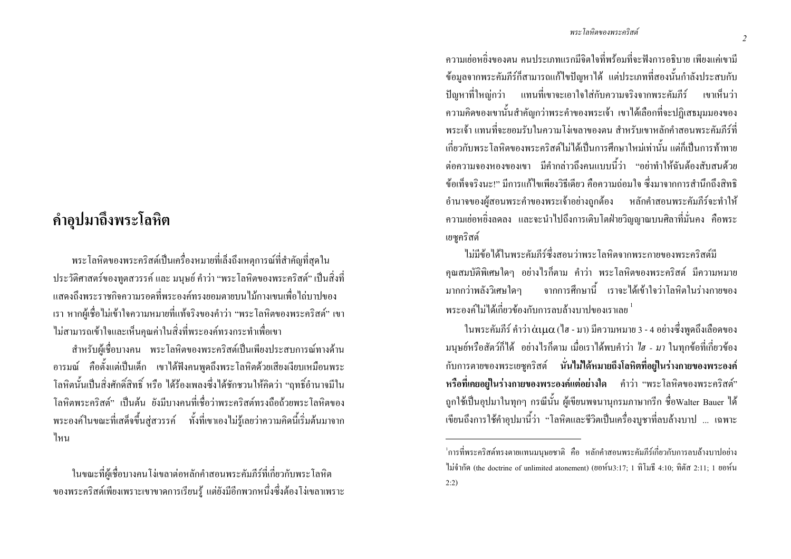## คำอุปมาถึงพระโลหิต

้ พระ โลหิตของพระคริสต์เป็นเครื่องหมายที่เล็งถึงเหตการณ์ที่สำคัญที่สดใน ประวัติศาสตร์ของทูตสวรรค์ และ มนุษย์ คำว่า "พระโลหิตของพระคริสต์" เป็นสิ่งที่ ้ แสดงถึงพระราชกิจความรอดที่พระองค์ทรงขอมตาขบนไม้กางเขนเพื่อไถ่บาปของ ี เรา หากผู้เชื่อไม่เข้าใจความหมายที่แท้จริงของคำว่า "พระโลหิตของพระคริสต์" เขา ใม่สามารถเข้าใจและเห็นคณค่าในสิ่งที่พระองค์ทรงกระทำเพื่อเขา

ี สำหรับผู้เชื่อบางคน พระโลหิตของพระคริสต์เป็นเพียงประสบการณ์ทางด้าน ้อารมณ์ คือตั้งแต่เป็นเด็ก เขาได้ฟังคนพูดถึงพระโลหิตด้วยเสียงเงียบเหมือนพระ โลหิตนั้นเป็นสิ่งศักดิ์สิทธิ์ หรือ ได้ร้องเพลงซึ่งได้ชักชวนให้กิดว่า "ฤทธิ์อำนาจมีใน โลหิตพระคริสต์" เป็นต้น ยังมีบางคนที่เชื่อว่าพระคริสต์ทรงถือถ้วยพระโลหิตของ ี พระองค์ในขณะที่เสด็จขึ้นสู่สวรรค์ ทั้งที่เขาเองไม่รู้เลยว่าความคิดนี้เริ่มต้นมาจาก ไหน

ในขณะที่ผู้เชื่อบางคนโง่เขลาต่อหลักคำสอนพระคัมภีร์ที่เกี่ยวกับพระโลหิต ี ของพระคริสต์เพียงเพราะเขาขาดการเรียนรู้ แต่ยังมีอีกพวกหนึ่งซึ่งด้องโง่เขลาเพราะ

#### พระโลหิตของพระอริสต์

ิ คาาบย่อหยิ่งของตบ คบประเกทแรกบีจิตใจที่พร้อบที่จะฟังการอธิบาย เพียงแค่ขาบี ี ข้อมูลจากพระคัมภีร์ก็สามารถแก้ไขปัญหาได้ แต่ประเภทที่สองนั้นกำลังประสบกับ ้ปัญหาที่ใหญ่กว่า แทนที่เขาจะเอาใจใส่กับความจริงจากพระคัมภีร์ เขาเห็นว่า ี ความคิดของเขานั้นสำคัญกว่าพระคำของพระเจ้า เขาได้เลือกที่จะปฏิเสธมมมองของ ี พระเจ้า แทนที่จะยอมรับในความโง่เขลาของตน สำหรับเขาหลักคำสอนพระคัมภีร์ที่ ้เกี่ยวกับพระโลหิตของพระคริสต์ใม่ได้เป็นการศึกษาใหม่เท่านั้น แต่ก็เป็นการท้าทาย ี่ต่อความจองหองของเขา มีคำกล่าวถึงคนแบบนี้ว่า "อย่าทำให้ฉันต้องสับสนด้วย ้ข้อเท็จจริงบะ!" มีการแก้ไขเพียงวิธีเดียว คือความถ่อมใจ ซึ่งมาจากการสำนึกถึงสิทธิ ้อำนาจของผู้สอนพระคำของพระเจ้าอย่างถูกต้อง หลักคำสอนพระคัมภีร์จะทำให้ ี ความเย่อหชิ่งลดลง และจะนำไปถึงการเติบโตฝ่ายวิณณาณบนศิลาที่มั่นคง คือพระ เยซูคริสต์

ไม่มีข้อได้ในพระคัมภีร์ซึ่งสอนว่าพระโลหิตจากพระกายของพระคริสต์มี ึ คณสมบัติพิเศษใดๆ อย่างไรก็ตาม คำว่า พระโลหิตของพระคริสต์ มีความหมาย ิจากการศึกษานี้ เราจะได้เข้าใจว่าโลหิตในร่างกายของ มากกว่าพลังวิเศษใดๆ ิพระองค์ไม่ได้เกี่ยวข้องกับการลบล้างบาปของเราเลย <sup>1</sup>

ในพระคัมภีร์ คำว่า $\dot{\alpha}$ ιμ $\alpha$  (ใฮ - มา) มีความหมาย 3 - 4 อย่างซึ่งพูคถึงเลือดของ ิมนุษย์หรือสัตว์ก็ได้ อย่างไรก็ตาม เมื่อเราได้พบคำว่า *ใฮ - มา* ในทุกข้อที่เกี่ยวข้อง ี กับการตายของพระเยซูคริสต์ นั่นไม่ได้หมายถึงโลหิตที่อยู่ในร่างกายของพระองค์ หรือที่เคยอยู่ในร่างกายของพระองค์แต่อย่างใด คำว่า "พระโลหิตของพระคริสต์" ิถูกใช้เป็นอุปมาในทุกๆ กรณีนั้น ผู้เขียนพจนานุกรมภาษากรีก ชื่อWalter Bauer ได้ ้เขียนถึงการใช้คำอุปมานี้ว่า "โลหิตและชีวิตเป็นเครื่องบูชาที่ลบล้างบาป ... เฉพาะ

2

<sup>้</sup>ากรที่พระคริสต์ทรงตายแทนมนษยชาติ คือ หลักคำสอนพระคัมภีร์เกี่ยวกับการลบล้างบาปอย่าง ไม่จำกัด (the doctrine of unlimited atonement) (ยอห์น3:17; 1 ทิโมธี 4:10; ทิตัส 2:11; 1 ยอห์น  $2:2)$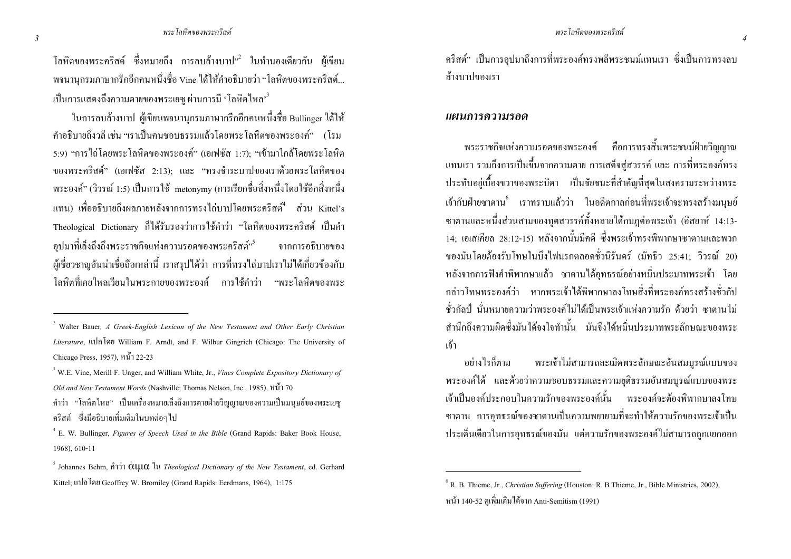์ โลหิตของพระคริสต์ ซึ่งหมายถึง การลบล้างบาป<sup>, 2</sup> ในทำนองเดียวกัน ผู้เขียน ่ พจนานกรมภาษากรีกอีกคนหนึ่งชื่อ Vine ได้ให้คำอธิบายว่า "โลหิตของพระคริสต์... ้เป็นการแสดงถึงความตายของพระเยซ ผ่านการมี 'โลหิตไหล' <sup>3</sup>

ในการลบล้างบาป ผู้เขียนพจนานกรมภาษากรีกอีกคนหนึ่งชื่อ Bullinger ได้ให้ ี คำอธิบายถึงวลี เช่น "เราเป็นคนชอบธรรมแล้วโดยพระโลหิตของพระองค์" (โรม 5:9) "การไถ่โคยพระโลหิตของพระองค์" (เอเฟซัส 1:7); "เข้ามาใกล้โคยพระโลหิต ของพระคริสต์" (เอเฟซัส 2:13); และ "ทรงชำระบาปของเราด้วยพระโลหิตของ พระองค์" (วิวรณ์ 1:5) เป็นการใช้ metonymy (การเรียกชื่อสิ่งหนึ่งโดยใช้อีกสิ่งหนึ่ง แทน) เพื่ออธิบายถึงผลภายหลังจากการทรงไถ่บาปโดยพระคริสต์ ส่วน Kittel's Theological Dictionary ก็ได้รับรองว่าการใช้คำว่า "โลหิตของพระคริสต์ เป็นคำ อปมาที่เล็งถึงถึงพระราชกิจแห่งความรอดของพระคริสต์<sup>"ร</sup> จากการอธิบายของ ผู้เชี่ยวชาญอันน่าเชื่อถือเหล่านี้ เราสรุปได้ว่า การที่ทรงไถ่บาปเราไม่ได้เกี่ยวข้องกับ โลหิตที่เคยไหลเวียนในพระกายของพระองค์ การใช้คำว่า "พระโลหิตของพระ ้คริสต์" เป็นการอปมาถึงการที่พระองค์ทรงพลีพระชนม์แทนเรา ซึ่งเป็นการทรงลบ ล้างบาปของเรา

#### แผนการความรอด

ี พระราชกิจแห่งความรอดของพระองค์ คือการทรงสิ้นพระชนม์ฝ่ายวิณฌาณ ี แทนเรา รวมถึงการเป็นขึ้นจากความตาย การเสด็จส่สวรรค์ และ การที่พระองค์ทรง ี ประทับอยู่เบื้องขวาของพระบิดา เป็นชัยชนะที่สำคัญที่สุดในสงครามระหว่างพระ ู้เจ้ากับฝ่ายซาตาน<sup>6</sup> เราทราบแล้วว่า ในอดีตกาลก่อนที่พระเจ้าจะทรงสร้างมนษย์ ี ซาตานและหนึ่งส่วนสามของทูตสวรรค์ทั้งหลายได้กบฏต่อพระเจ้า (อิสยาห์ 14:13-14: เอเสเกียล 28:12-15) หลังจากนั้นมีคดี ซึ่งพระเจ้าทรงพิพากษาซาตานและพวก ีของมันโดยต้องรับโทษในบึงไฟนรกตลอดชั่วนิรันดร์ (มัทธิว 25:41: วิวรณ์ 20) หลังจากการฟังคำพิพากษาแล้ว ซาตานได้อทธรณ์อย่างหมิ่นประมาทพระเจ้า โดย ึกล่าวโทษพระองค์ว่า หากพระเจ้าใด้พิพากษาลงโทษสิ่งที่พระองค์ทรงสร้างชั่วกัป ์ชั่วกัลป์ นั่นหมายความว่าพระองค์ไม่ได้เป็นพระเถ้าแห่งความรัก ด้วยว่า ซาตานไม่ ี่ สำนึกถึงความผิดซึ่งมันได้จงใจทำนั้น มันจึงได้หมิ่นประมาทพระลักษณะของพระ ้เจ้า

พระเจ้าไม่สามารถละเมิดพระลักษณะอันสมบูรณ์แบบของ ้อย่างไรก็ตาม พระองค์ได้ และด้วยว่าความชอบธรรมและความยุติธรรมอันสมบูรณ์แบบของพระ ้เจ้าเป็นองค์ประกอบในความรักของพระองค์นั้น พระองค์จะต้องพิพากษาลงโทษ ซาตาน การอทธรณ์ของซาตานเป็นความพยายามที่จะทำให้ความรักของพระเจ้าเป็น ประเด็นเดียวในการอทธรณ์ของมัน แต่ความรักของพระองค์ไม่สามารถถกแยกออก

<sup>&</sup>lt;sup>2</sup> Walter Bauer, A Greek-English Lexicon of the New Testament and Other Early Christian Literature, แปลโดย William F. Arndt, and F. Wilbur Gingrich (Chicago: The University of Chicago Press, 1957), หน้า 22-23

<sup>&</sup>lt;sup>3</sup> W.E. Vine. Merill F. Unger, and William White. Jr., *Vines Complete Expository Dictionary of* Old and New Testament Words (Nashville: Thomas Nelson, Inc., 1985). หน้ำ 70

<sup>ี</sup> คำว่า "โลหิตใหล" เป็นเครื่องหมายเล็งถึงการตายฝ่ายวิณณาณของความเป็นมนษย์ของพระเยซ คริสต์ ซึ่งมือธิบายเพิ่มเติมในบทต่อๆไป

<sup>&</sup>lt;sup>4</sup> E. W. Bullinger. *Figures of Speech Used in the Bible* (Grand Rapids: Baker Book House. 1968), 610-11

<sup>&</sup>lt;sup>5</sup> Johannes Behm, คำว่า  $\alpha$ !|| $\alpha$  lu *Theological Dictionary of the New Testament*, ed. Gerhard Kittel; แปลโดย Geoffrey W. Bromiley (Grand Rapids: Eerdmans, 1964), 1:175

 $6$  R. B. Thieme, Jr., Christian Suffering (Houston: R. B Thieme, Jr., Bible Ministries, 2002). หน้า 140-52 ดูเพิ่มเติมได้จาก Anti-Semitism (1991)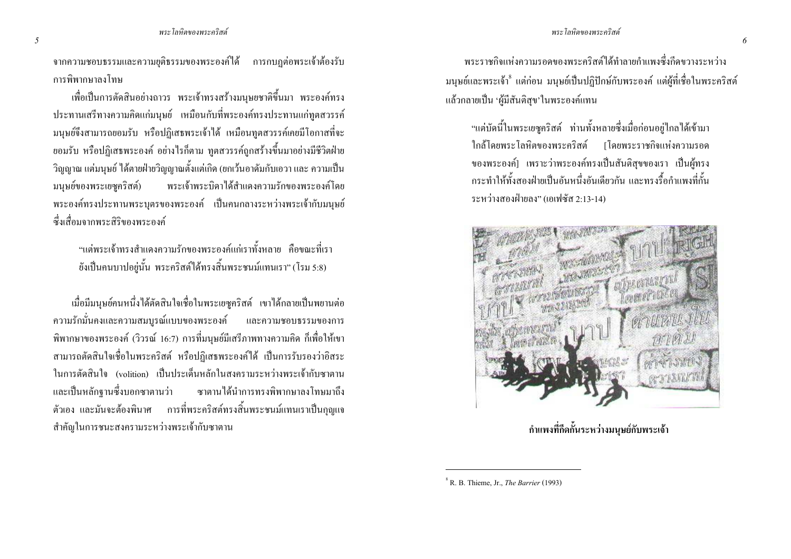ี จากความชอบธรรมและความยุติธรรมของพระองค์ได้ การกบฎต่อพระเจ้าต้องรับ การพิพากนาลงโทน

เพื่อเป็นการตัดสินอย่างถาวร พระเจ้าทรงสร้างมนุษยชาติขึ้นมา พระองค์ทรง ี ประทานเสรีทางความคิดแก่มนุษย์ เหมือนกับที่พระองค์ทรงประทานแก่ทตสวรรค์ ้มนุษย์จึงสามารถขอมรับ หรือปฏิเสธพระเจ้าได้ เหมือนทูตสวรรค์เคยมีโอกาสที่จะ ี ยอมรับ หรือปฏิเสธพระองค์ อย่างไรก็ตาม ทตสวรรค์ถกสร้างขึ้นมาอย่างมีชีวิตฝ่าย ้ วิถฌาณ แต่มนษย์ ได้ตายฝ่ายวิณฌาณตั้งแต่เกิด (ยกเว้นอาดัมกับเอวา และ ความเป็น มนุษย์ของพระเยซูคริสต์) พระเจ้าพระบิดาได้สำแดงความรักของพระองค์โดย พระองค์ทรงประทานพระบุตรของพระองค์ เป็นคนกลางระหว่างพระเจ้ากับมนุษย์ หึ่งเสื่อบจากพระสิริของพระองค์

"แต่พระเจ้าทรงสำแดงความรักของพระองค์แก่เราทั้งหลาย คือขณะที่เรา ยังเป็นคนบาปอยู่นั้น พระคริสต์ใค้ทรงสิ้นพระชนม์แทนเรา" (โรม 5:8)

เมื่อมีมนบย์คนหนึ่งได้ตัดสินใจเชื่อในพระเยซคริสต์ เขาได้กลายเป็นพยานต่อ ความรักมั่นคงและความสมบูรณ์แบบของพระองค์ และความชอบธรรมของการ ้พิพากษาของพระองค์ (วิวรณ์ 16:7) การที่มนุษย์มีเสรีภาพทางความคิด ก็เพื่อให้เขา ี สามารถตัดสินใจเชื่อในพระคริสต์ หรือปฏิเสธพระองค์ได้ เป็นการรับรองว่าอิสระ ใบการตัดสิบใจ (volition) เป็บประเด็บหลักใบสงครามระหว่างพระเจ้ากับซาตาบ และเป็นหลักจานซึ่งบอกซาตานว่า ี ซาตานได้นำการทรงพิพากษาลงโทษมาถึง ี ตัวเอง และมันจะต้องพินาศ การที่พระคริสต์ทรงสิ้นพระชนม์แทนเราเป็นกุญแจ สำคัญในการชนะสงครามระหว่างพระเจ้ากับซาตาน

ิพระราชกิจแห่งความรอดของพระคริสต์ใด้ทำลายกำแพงซึ่งกีดขวางระหว่าง ึ มนุษย์และพระเจ้า<sup>8</sup> แต่ก่อน มนุษย์เป็นปฏิปักษ์กับพระองค์ แต่ผู้ที่เชื่อในพระคริสต์ แล้วกลายเป็น 'ผู้มีสันติสุข'ในพระองค์แทน

"แต่บัดนี้ในพระเยซูคริสต์ ท่านทั้งหลายซึ่งเมื่อก่อนอยู่ไกลได้เข้ามา ใกล้โดยพระโลหิตของพระคริสต์ [โดยพระราชกิจแห่งความรอด ของพระองค์] เพราะว่าพระองค์ทรงเป็นสันติสุขของเรา เป็นผู้ทรง ่ กระทำให้ทั้งสองฝ่ายเป็นอับหนึ่งอับเดียวกับ และทรงรี้อกำแพงที่กั้บ ระหว่างสองฝ่ายลง" (เอเฟซัส 2:13-14)



<sub>ู<br>กำแพงที่กีดกั้นระหว่างมนุษย์กับพระเจ้า</sub>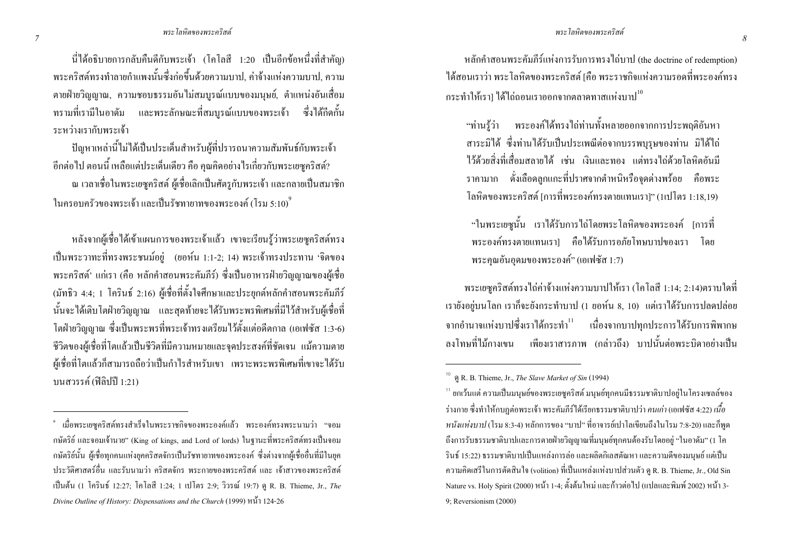#### พระ โลหิตของพระคริ ริสต์ สามารถนอก เป็นสมัย เป็นสมัย เป็นสมัย เป็นสมัย เป็นสมัย เป็นสมัย เป็นสมัย เป็นสมัย เป็นสมัย เป็นสมัย เป็น <sup>8</sup>

นี่ใด้อธิบายการกลับคืนดีกับพระเจ้า (โกโลสี 1:20 เป็นอีกข้อหนึ่งที่สำคัญ) พระคริสต์ทรงทำลายกำแพงนั้นซึ่งก่อขึ้นด้วยความบาป, ค่าจ้างแห่งความบาป, ความ ตายฝ่ายวิญญาณ, ความชอบธรรมอันไม่สมบูรณ์แบบของมนุษย์, ตำแหน่งอันเสื่อม ทรามที่เรามีในอาคัม และพระลักษณะที่สมบูรณ์แบบของพระเจ้า ซึ่งได้กีดกั้น ระหว่างเรากับพระเจ้า

ปัญหาเหล่านี้ไม่ได้เป็นประเด็นสำหรับผู้ที่ปรารถนาความสัมพันธ์กับพระเจ้า อีกต่อไป ตอนนี้ เหลือแต่ประเด็นเดียว กือ คุณกิดอย่างไรเกี่ยวกับพระเยซูกริสต์? ณ เวลาเชื่อในพระเยซูคริสต์ ผู้เชื่อเลิกเป็นศัตรูกับพระเจ้า และกลายเป็นสมาชิก ในครอบครัวของพระเจ้า และเป็นรัชทายาทของพระองค์ (โรม 5:10) $^{\circ}$ 

หลังจากผู้เชื่อได้เข้าแผนการของพระเจ้าแล้ว เขาจะเรียนรู้ว่าพระเยซูคริสต์ทรง เป็นพระวาทะที่ทรงพระชนม์อยู่ (ยอห์น 1:1-2; 14) พระเจ้าทรงประทาน 'จิตของ พระคริสต์' แก่เรา (คือ หลักคำสอนพระคัมภีร์) ซึ่งเป็นอาหารฝ่ายวิญญาณของผู้เชื่อ (มัทธิว 4:4; 1 โครินธ์ 2:16) ผู้เชื่อที่ตั้งใจศึกษาและประยุกต์หลักคำสอนพระคัมภีร์ นั้นจะใด้เติบโตฝ่ายวิญญาณ และสุดท้ายจะใด้รับพระพรพิเศษที่มีไว้สำหรับผู้เชื่อที่ โตฝ่ายวิญญาณ ซึ่งเป็นพระพรที่พระเจ้าทรงเตรียมไว้ตั้งแต่อดีตกาล (เอเฟซัส 1:3-6) ชีวิตของผู้เชื่อที่โตแล้วเป็นชีวิตที่มีความหมายและจุดประสงค์ที่ชัดเจน แม้ความตาย ผู้เชื่อที่โตแล้วก็สามารถถือว่าเป็นกำไรสำหรับเขา เพราะพระพรพิเศษที่เขาจะได้รับ บนสวรรค์ (ฟิลิปปี 1:21)

 $^{\circ}$  เมื่อพระเยซูคริสต์ทรงสำเร็จในพระราชกิจของพระองค์แล้ว พระองค์ทรงพระนามว่า "จอม กษัตริย์ และจอมเจ้านาย" (King of kings, and Lord of lords) ในฐานะที่พระคริสต์ทรงเป็นจอม กษัตริย์นั้น ผู้เชื่อทุกคนแห่งยุคคริสตจักรเป็นรัชทายาทของพระองค์ ซึ่งต่างจากผู้เชื่ออื่นที่มีในยุค ประวัติศาสตร์อื่น และรับนามว่า คริสตจักร พระกายของพระคริสต์ และ เจ้าสาวของพระคริสต์ เป็นต้น (1 โครินธ์ 12:27; โคโลสี 1:24; 1 เปโตร 2:9; วิวรณ์ 19:7) ดู R. B. Thieme, Jr., The Divine Outline of History: Dispensations and the Church (1999) หน้า 124-26

หลักคำสอนพระคัมภีร์แห่งการรับการทรงไถ่บาป (the doctrine of redemption) ได้สอนเราว่า พระโลหิตของพระคริสต์ [คือ พระราชกิจแห่งความรอดที่พระองค์ทรง กระทำให้เรา1 ได้ไถ่ถอนเราออกจากตลาดทาสแห่งบาป $^{\rm 10}$ 

ะ โลหิตของพระคริสต์

"ท่านรู้ว่า พระองค์ได้ทรงไถ่ท่านทั้งหลายออกจากการประพฤติอันหา สาระมิใด้ ซึ่งท่านใด้รับเป็นประเพณีต่อจากบรรพบุรุษของท่าน มิใด้ใถ่ ไว้ด้วยสิ่งที่เสื่อมสลายได้ เช่น เงินและทอง แต่ทรงไถ่ด้วยโลหิตอันมี ราคามาก ดั่งเลือดลูกแกะที่ปราศจากตำหนิหรือจุดด่างพร้อย คือพระ โลหิตของพระคริสต์ [การที่พระองค์ทรงตายแทนเรา]" (1เปโตร 1:18,19)

"ในพระเยซูนั้น เราได้รับการไถ่โดยพระโลหิตของพระองค์ [การที่ พระองค์ทรงตายแทนเรา] คือได้รับการอภัยโทษบาปของเรา โดย พระกุณอันอุคมของพระองค์" (เอเฟซัส 1:7)

พระเยซูคริสต์ทรงไถ่ค่าจ้างแห่งความบาปให้เรา (โคโลสี 1:14; 2:14)ตราบใดที่ ี เรายังอยู่บนโลก เราก็จะยังกระทำบาป (1 ยอห์น 8, 10) แต่เราได้รับการปลดปล่อย จากอำนาจแห่งบาปซึ่งเราได้กระทำ<sup>11</sup> เนื่องจากบาปทุกประการได้รับการพิพากษ ลงโทษที่ไม้กางเขน เพียงเราสารภาพ (กล่าวถึง) บาปนั้นต่อพระบิดาอย่างเป็น

 $^{10}$  @ R. B. Thieme, Jr., *The Slave Market of Sin* (1994)

 $^{\scriptscriptstyle 11}$  ยกเว้นแต่ ความเป็นมนุษย์ของพระเยซูคริสต์ มนุษย์ทุกคนมีธรรมชาติบาปอยู่ในโครงเซลล์ของ ร่างกาย ซึ่งทำให้กบฏต่อพระเจ้า พระคัมภีร์ได้เรียกธรรมชาติบาปว่า *คนเก่า* (เอเฟซัส 4:22) *เนื้อ* หนังแห่งบาป (โรม 8:3-4) หลักการของ "บาป" ที่อาจารย์เปาโลเขียนถึงในโรม 7:8-20) และก็พูด ถึงการรับธรรมชาติบาปและการตายฝ่ายวิญญาณที่มนุษย์ทุกคนต้องรับโดยอยู่ "ในอาคัม" (1 โค รินธ์ 15:22) ธรรมชาติบาปเป็นแหล่งการล่อ และผลิตกิเลสตัณหา และความดีของมนุษย์ แต่เป็น ความคิดเสรีในการตัดสินใจ (volition) ที่เป็นแหล่งแห่งบาปส่วนตัว ดู R. B. Thieme, Jr., Old Sin Nature vs. Holy Spirit (2000) หน้า 1-4; ตั้งต้นใหม่ และก้าวต่อไป (แปลและพิมพ์ 2002) หน้า 3-9; Reversionism (2000)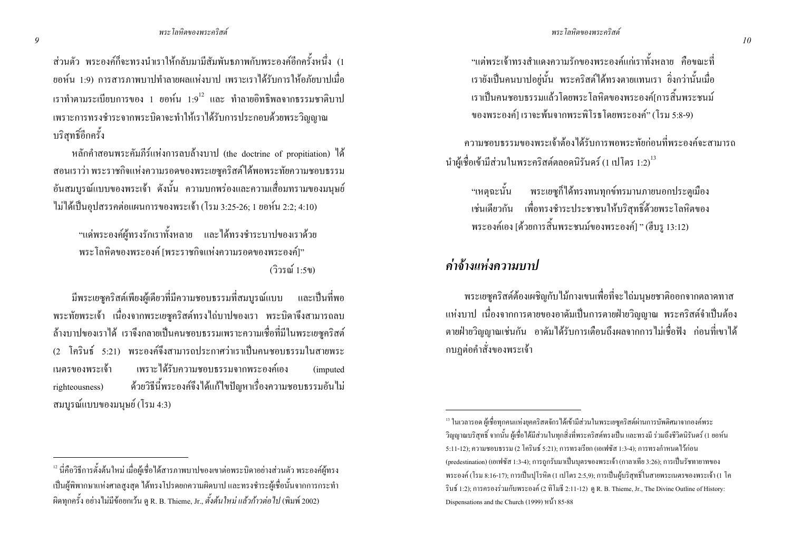่ ส่วนตัว พระองค์ก็จะทรงนำเราให้กลับมามีสัมพันธภาพกับพระองค์อีกครั้งหนึ่ง (1 ี ยอห์น 1:9) การสารภาพบาปทำลายผลแห่งบาป เพราะเราได้รับการให้อภัยบาปเมื่อ เราทำตามระเบียบการของ 1 ยอห์น 1:9  $^{\rm 12}$  และ ทำลายอิทธิพลจากธรรมชาติบาป เพราะการทรงชำระจากพระบิดาจะทำให้เราได้รับการประกอบด้วยพระวิญญาณ บริสทธิ์อีกครั้ง

หลักคำสอนพระคัมภีร์แห่งการลบล้างบาป (the doctrine of propitiation) ได้ ิสอนเราว่า พระราชกิจแห่งความรอดของพระเยซูคริสต์ใด้พอพระทัยความชอบธรรม ้อันสมบรณ์แบบของพระเจ้า ดังนั้น ความบกพร่องและความเสื่อมทรามของมนษย์ ไม่ได้เป็นอปสรรคต่อแผนการของพระเจ้า (โรม 3:25-26; 1 ยอห์น 2:2; 4:10)

"แค่พระองค์ผู้ทรงรักเราทั้งหลาย และใด้ทรงชำระบาปของเราด้วย พระโลหิตของพระองค์ เพระราชกิจแห่งความรอดของพระองค์!" (วิวรณ์ 1·5ข)

้มีพระเยซคริสต์เพียงผู้เดียวที่มีความชอบธรรมที่สมบรณ์แบบ และเป็นที่พอ พระทัยพระเจ้า เนื่องจากพระเยซูคริสต์ทรงใถ่บาปของเรา พระบิดาจึงสามารถลบ ้ถ้างบาปของเราได้ เราจึงกลายเป็นคนชอบธรรมเพราะความเชื่อที่มีในพระเยซคริสต์ (2 โครินธ์ 5:21) พระองค์จึงสามารถประกาศว่าเราเป็นคนชอบธรรมในสายพระ เพราะได้รับความชอบธรรมจากพระองค์เอง เนตรของพระเจ้า (imputed) ด้วยวิธีนี้พระองค์จึงได้แก้ไขปัญหาเรื่องความชอบธรรมอันไม่ righteousness) ิสมบูรณ์แบบของมนุษย์ (โรม 4:3)

 $^{\rm 12}$ นี่คือวิธีการตั้งต้นใหม่ เมื่อผู้เชื่อได้สารภาพบาปของเขาต่อพระบิดาอย่างส่วนตัว พระองค์ผู้ทรง ้เป็นผู้พิพากษาแห่งศาลสูงสุด ได้ทรงโปรดยกความผิดบาป และทรงชำระผู้เชื่อนั้นจากการกระทำ ์ ผิดทุกครั้ง อย่างไม่มีข้อยกเว้น ดู R. B. Thieme, Jr., ตั้งต้นใหม่ แล้วก้าวต่อไป (พิมพ์ 2002)

"แต่พระเจ้าทรงสำแดงความรักของพระองค์แก่เราทั้งหลาย คือขณะที่ ี เรายังเป็นคนบาปอย่นั้น พระคริสต์ได้ทรงตายแทนเรา ยิ่งกว่านั้นเมื่อ ี<br>เราเป็นคนชอบธรรมแล้วโดยพระโลหิตของพระองค์เการสิ้นพระชนม์ ์ ของพระองค์1 เราจะพ้นจากพระพิโรธโดยพระองค์" (โรม 5:8-9)

ความชอบธรรมของพระเจ้าต้องใด้รับการพอพระทัยก่อนที่พระองค์จะสามารถ นำผู้เชื้อเข้ามีส่วนในพระคริสต์ตลอดนิรันคร์ (1 เปโตร 1:2) $^{\rm 13}$ 

"เหตุฉะนั้น พระเยซูก็ได้ทรงทนทุกข์ทรมานภายนอกประตูเมือง ้ เช่นเดียวกัน เพื่อทรงชำระประชาชนให้บริสุทธิ์ด้วยพระโลหิตของ พระองค์เอง [ด้วยการสิ้นพระชนม์ของพระองค์] " (ฮีบร 13:12)

#### ค่าจ้างแห่งความบาป

่ พระเยซุคริสต์ด้องเผชิญกับ ไม้กางเขนเพื่อที่จะ ไถ่มนุษยชาติออกจากตลาดทาส แห่งบาป เนื่องจากการตายของอาคัมเป็นการตายฝ่ายวิญญาณ พระคริสต์จำเป็นต้อง ี ตายฝ่ายวิณณาณเช่นกัน อาคัมได้รับการเตือนถึงผลจากการไม่เชื่อฟัง ก่อนที่เขาได้ ึกบฎต่อคำสั่งของพระเจ้า

 $^{\,13}$  ในเวลารอด ผู้เชื่อทุกคนแห่งยุคคริสตจักร ได้เข้ามีส่วนในพระเยซูคริสต์ผ่านการบัพติศมาจากองค์พระ ้ วิญญาณบริสุทธิ์ จากนั้น ผู้เชื่อ ได้มีส่วนในทุกสิ่งที่พระคริสต์ทรงเป็น และทรงมี ร่วมถึงชีวิตนิรันดร์ (1 ยอห์น 5:11-12): ความชอบธรรม (2 โครินธ์ 5:21): การทรงเรียก (เอเฟซัส 1:3-4): การทรงกำหนดไว้ก่อน (predestination) (เอเฟซัส 1:3-4); การถูกรับมาเป็นบุตรของพระเจ้า (กาลาเทีย 3:26); การเป็นรัชทายาทของ พระองค์ (โรม 8:16-17); การเป็นปุโรหิต (1 เปโตร 2:5,9); การเป็นผู้บริสุทธิ์ในสายพระเนตรของพระเจ้า (1 โค รินช์ 1:2); การครองร่วมกับพระองค์ (2 ทิโมธี 2:11-12) ดู R. B. Thieme, Jr., The Divine Outline of History: Dispensations and the Church (1999) หน้า 85-88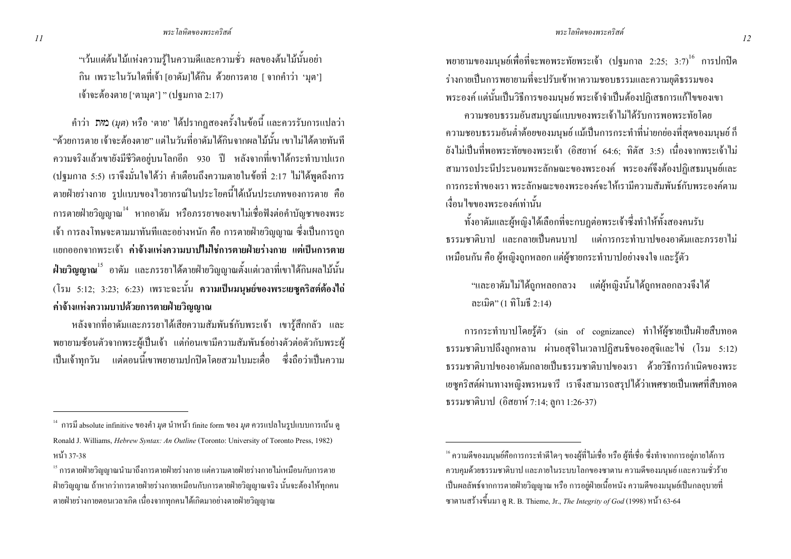"เว้นแต่ต้นไม้แห่งความร้ในความดีและความชั่ว ผลของต้นไม้นั้นอย่า ้กิน เพราะในวันใดที่เจ้า เอาดัมไได้กิน ด้วยการตาย [ จากคำว่า 'มต'] เจ้าจะต้องตาย ['ตามุต'] " (ปฐมกาล 2:17)

คำว่า มหา (มุต) หรือ 'ตาย' ได้ปรากฏสองครั้งในข้อนี้ และควรรับการแปลว่า "ด้วยการตาย เจ้าจะต้องตาย" แต่ในวันที่อาดัมใด้กินจากผลไม้นั้น เขาไม่ได้ตายทันที ี ความจริงแล้วเขายังมีชีวิตอย่บนโลกอีก 930 ปี หลังจากที่เขาได้กระทำบาปแรก (ปฐมกาล 5:5) เราจึงมั่นใจได้ว่า คำเตือนถึงความตายในข้อที่ 2:17 ไม่ได้พดถึงการ ตายฝ่ายร่างกาย รูปแบบของไวยากรณ์ในประโยคนี้ได้เน้นประเภทของการตาย คือ ิการตายฝ่ายวิณฌาณ<sup>14</sup> หากอาดัม หรือภรรยาของเขาไม่เชื่อฟังต่อคำบัณชาของพระ ้ เจ้า การลงโทษจะตามมาทันทีและอย่างหนัก คือ การตายฝ่ายวิญญาณ ซึ่งเป็นการถูก แยกออกจากพระเจ้า ค่าจ้างแห่งความบาปใม่ใช่การตายฝ่ายร่างกาย แต่เป็นการตาย ี ฝ่ายวิญญาณ<sup>15</sup> อาคัม และภรรยาได้ตายฝ่ายวิญญาณตั้งแต่เวลาที่เขาได้กินผลไม้นั้น (โรม 5:12: 3:23: 6:23) เพราะฉะนั้น ความเป็นมนุษย์ของพระเยซุคริสต์ต้องไถ่ ค่าจ้างแห่งความบาปด้วยการตายฝ่ายวิญญาณ

หลังจากที่อาคัมและภรรยาได้เสียความสัมพันธ์กับพระเจ้า เขาร้สึกกลัว และ ี พยายามซ้อนตัวจากพระผู้เป็นเจ้า แต่ก่อนเขามีความสัมพันธ์อย่างตัวต่อตัวกับพระผู้ ้เป็นเจ้าทุกวัน แต่ตอนนี้เขาพยายามปกปิดโดยสวมใบมะเดื่อ ซึ่งถือว่าเป็นความ พยายามของมนุษย์เพื่อที่จะพอพระทัยพระเจ้า (ปฐมกาล 2:25: 3:7) <sup>16</sup> การปกปิด ร่างกายเป็นการพยายามที่จะปรับเข้าหาความชอบธรรมและความยุติธรรมของ ี พระองค์ แต่นั้นเป็นวิธีการของมนุษย์ พระเจ้าจำเป็นต้องปฏิเสธการแก้ไขของเขา

ความชอบธรรมอันสมบูรณ์แบบของพระเจ้าไม่ได้รับการพอพระทัยโดย ี ความชอบธรรมอันต่ำต้อยของมนุษย์ แม้เป็นการกระทำที่น่ายกย่องที่สดของมนุษย์ ก็ ยังไม่เป็นที่พอพระทัยของพระเจ้า (อิสยาห์ 64:6; ทิตัส 3:5) เนื่องจากพระเจ้าไม่ ี่ สามารถประนีประนอมพระลักษณะของพระองค์ พระองค์จึงต้องปฏิเสธมนษย์และ ิการกระทำของเรา พระลักษณะของพระองค์จะให้เรามีความสัมพันธ์กับพระองค์ตาม เงื้อบไขของพระองค์เท่าบั้บ

ทั้งอาคัมและผ้หญิงได้เลือกที่จะกบฎต่อพระเจ้าซึ่งทำให้ทั้งสองคนรับ ี ธรรมชาติบาป และกลายเป็นคบบาป แต่การกระทำบาปของอาดัมและกรรยาไม่ เหมือนกัน คือ ผู้หญิงถูกหลอก แต่ผู้ชายกระทำบาปอย่างจงใจ และรู้ตัว

"และอาคัมไม่ได้ถกหลอกลวง แต่ผ้หญิงนั้นได้ถกหลอกลวงจึงได้ ถะเมิด" (1 ทิโมธี 2:14)

การกระทำบาปโดยรู้ตัว (sin of cognizance) ทำให้ผู้ชายเป็นฝ่ายสืบทอด ธรรมชาติบาปถึงถูกหลาน ผ่านอสุจิในเวลาปฏิสนธิของอสุจิและไข่ (โรม 5:12) ธรรมชาติบาปของอาคัมกลายเป็นธรรมชาติบาปของเรา ด้วยวิธีการกำเนิดของพระ ้ เยซูคริสต์ผ่านทางหญิงพรหมจารี เราจึงสามารถสรุปได้ว่าเพศชายเป็นเพศที่สืบทอด ธรรมชาติบาป (อิสยาห์ 7:14; ลูกา 1:26-37)

<sup>&</sup>lt;sup>14</sup> การมี absolute infinitive ของคำ*มุต* นำหน้า finite form ของ *มุต* ควรแปลในรูปแบบการเน้น ดู Ronald J. Williams, *Hebrew Syntax: An Outline* (Toronto: University of Toronto Press, 1982) หน้า 37-38

<sup>&</sup>lt;sup>15</sup> การตายฝ่ายวิญญาณนำมาถึงการตายฝ่ายร่างกาย แต่กวามตายฝ่ายร่างกายไม่เหมือนกับการตาย ่ ฝ่ายวิญญาณ ถ้าหากว่าการตายฝ่ายร่างกายเหมือนกับการตายฝ่ายวิญญาณจริง นั้นจะต้องให้ทุกคน ิตายฝ่ายร่างกายตอนเวลาเกิด เนื่องจากทุกคนได้เกิดมาอย่างตายฝ่ายวิญญาณ

<sup>&</sup>quot; ความดีของมนุษย์คือการกระทำดีใดๆ ของผู้ที่ไม่เชื่อ หรือ ผู้ที่เชื่อ ซึ่งทำจากการอยู่ภายใต้การ ี ควบคุมด้วยธรรมชาติบาป และภายในระบบโลกของซาตาน ความดีของมนุษย์ และความชั่วร้าย ้เป็นผลลัพธ์จากการตายฝ่ายวิญญาณ หรือ การอยู่ฝ่ายเนื้อหนัง ความดีของมนุษย์เป็นกลอบายที่ ี ซาตานสร้างขึ้นมา ดู R. B. Thieme, Jr., *The Integrity of God* (1998) หน้า 63-64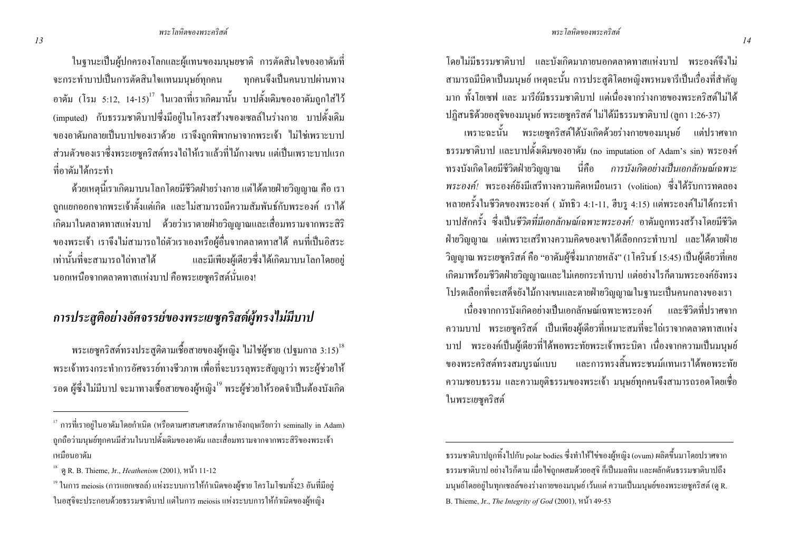#### พระโลหิตของพระอริสต์

โดยไม่มีธรรมชาติบาป และบังเกิดมาภายนอกตลาดทาสแห่งบาป พระองค์ถึงไม่ ี่ สามารถมีบิดาเป็นมนุษย์ เหตุฉะนั้น การประสติโดยหญิงพรหมจารีเป็นเรื่องที่สำคัญ ิมาก ทั้งโยเซฟ และ มารีย์มีธรรมชาติบาป แต่เนื่องจากร่างกายของพระคริสต์ไม่ได้ ปฏิสนธิด้วยอสุจิของมนุษย์ พระเยซุคริสต์ ใม่ได้มีธรรมชาติบาป (ลูกา 1:26-37)

้ เพราะฉะนั้น พระเยซุกริสต์ได้บังเกิดด้วยร่างกายของมนุษย์ แต่ปราศจาก ิธรรมชาติบาป และบาปคั้งเดิมของอาคัม (no imputation of Adam's sin) พระองค์ ทรงบังเกิดโดยมีชีวิตฝ่ายวิณณาณ นี่คือ การบังเกิดอย่างเป็นเอกลักษณ์เฉพาะ ่ พระองค์/ พระองค์ยังมีเสรีทางความคิดเหมือนเรา (volition) ซึ่งได้รับการทดลอง หลายครั้งในชีวิตของพระองค์ ( มัทธิว 4:1-11, ฮีบรู 4:15) แต่พระองค์ไม่ได้กระทำ บาปสักครั้ง ซึ่งเป็นชีวิตที่มีเอกลักษณ์เฉพาะพระองค์! อาดัมถูกทรงสร้างโดยมีชีวิต ้ฝ่ายวิณณาณ แต่เพราะเสรีทางความคิดของเขาได้เลือกกระทำบาป และได้ตายฝ่าย ้วิญญาณ พระเยซคริสต์ คือ "อาดัมผู้ซึ่งมาภายหลัง" (1 โครินธ์ 15:45) เป็นผู้เดียวที่เคย ้เกิดมาพร้อมชีวิตฝ่ายวิญญาณและไม่เกยกระทำบาป แต่อย่างไรก็ตามพระองค์ยังทรง โปรดเลือกที่จะเสด็จยังไม้กางเขนและตายฝ่ายวิญญาณในฐานะเป็นคนกลางของเรา

้เบื้องจากการบังเกิดอย่างเป็บเอกลักษณ์เฉพาะพระองค์ และชีวิตที่ปราศจาก ้ความบาป พระเยซูคริสต์ เป็นเพียงผู้เดียวที่เหมาะสมที่จะไถ่เราจากตลาดทาสแห่ง ิบาป พระองค์เป็นผู้เดียวที่ได้พอพระทัยพระเจ้าพระบิดา เนื่องจากความเป็นมนุษย์ และการทรงสิ้นพระชนม์แทนเราได้พอพระทัย ของพระคริสต์ทรงสมบูรณ์แบบ ้ความชอบธรรม และความยุติธรรมของพระเจ้า มนุษย์ทุกคนจึงสามารถรอดโดยเชื่อ ในพระเยซคริสต์

ในฐานะเป็นผู้ปกครองโลกและผู้แทนของมนุษยชาติ การตัดสินใจของอาดัมที่ จะกระทำบาปเป็นการตัดสินใจแทนมนษย์ทกคน ิทกคนจึงเป็นคนบาปผ่านทาง ี อาคัม (โรม 5:12, 14-15)<sup>17</sup> ในเวลาที่เราเกิดมานั้น บาปดั้งเดิมของอาคัมถกใส่ไว้ (imputed) กับธรรมชาติบาปซึ่งมีอยู่ในโครงสร้างของเซลล์ในร่างกาย บาปดั้งเดิม ของอาคัมกลายเป็นบาปของเราด้วย เราจึงถูกพิพากษาจากพระเจ้า ไม่ใช่เพราะบาป ้ ส่วนตัวของเราซึ่งพระเยซุคริสต์ทรงไถ่ให้เราแล้วที่ไม้กางเขน แต่เป็นเพราะบาปแรก ที่อาดัมได้กระทำ

ี ด้วยเหตนี้เราเกิดมาบนโลกโดยมีชีวิตฝ่ายร่างกาย แต่ได้ตายฝ่ายวิณณาณ คือ เรา ิถกแยกออกจากพระเจ้าตั้งแต่เกิด และไม่สามารถมีความสัมพันธ์กับพระองค์ เราได้ ้เกิดมาในตลาดทาสแห่งบาป ด้วยว่าเราตายฝ่ายวิญญาณและเสื่อมทรามจากพระสิริ ึ ของพระเจ้า เราจึงไม่สามารถไถ่ตัวเราเองหรือผู้อื่นจากตลาดทาสได้ คนที่เป็นอิสระ เท่านั้นที่จะสามารถไถ่ทาสได้ และมีเพียงผู้เคียวซึ่งได้เกิดมาบนโลกโดยอยู่ ินอกเหนือจากตลาดทาสแห่งบาป คือพระเยซคริสต์นั่นเอง!

## ิการประสูติอย่างอัศจรรย์ของพระเยซูคริสต์ผู้ทรงไม่มีบาป

ิ พระเยซคริสต์ทรงประสติตามเชื้อสายของผ้หญิง ไม่ใช่ผ้ชาย (ปฐมกาล 3:15)<sup>18</sup> ี พระเจ้าทรงกระทำการอัศจรรย์ทางชีวภาพ เพื่อที่จะบรรลุพระสัญญาว่า พระผู้ช่วยให้ รอค ผู้ซึ่งไม่มีบาป จะมาทางเชื้อสายของผู้หญิง<sup>19</sup> พระผู้ช่วยให้รอคจำเป็นต้องบังเกิด

<sup>ิ</sup> ธรรมชาติบาปถูกทิ้งไปกับ polar bodies ซึ่งทำให้ไข่ของผู้หญิง (ovum) ผลิตขึ้นมาโดยปราศจาก ธรรมชาติบาป อย่างไรก็ตาม เมื่อไข่ถูกผสมด้วยอสุจิ ก็เป็นมลทิน และผลักดันธรรมชาติบาปถึง มนุษย์โดยอยู่ในทุกเซลล์ของร่างกายของมนุษย์ เว้นแต่ ความเป็นมนุษย์ของพระเยซูคริสต์ (ดู R. B. Thieme, Jr., The Integrity of God (2001), หน้ำ 49-53

<sup>ี้&</sup>quot; การที่เราอยู่ในอาคัมโดยกำเนิด (หรือตามศาสนศาสตร์ภาษาอังกฤษเรียกว่า seminally in Adam) ิถูกถือว่ามนุษย์ทุกคนมีส่วนในบาปดั้งเดิมของอาดัม และเสื่อมทรามจากจากพระสิริของพระเจ้า เหมือนอาคัม

<sup>&</sup>lt;sup>18</sup> ดู R. B. Thieme, Jr., *Heathenism* (2001), หน้า 11-12

<sup>&</sup>lt;sup>19</sup> ในการ meiosis (การแยกเซลล์) แห่งระบบการให้กำเนิดของผู้ชาย โครโมโซมทั้ง23 อันที่มีอยู่ ในอสุจิจะประกอบด้วยธรรมชาติบาป แต่ในการ meiosis แห่งระบบการให้กำเนิดของผู้หญิง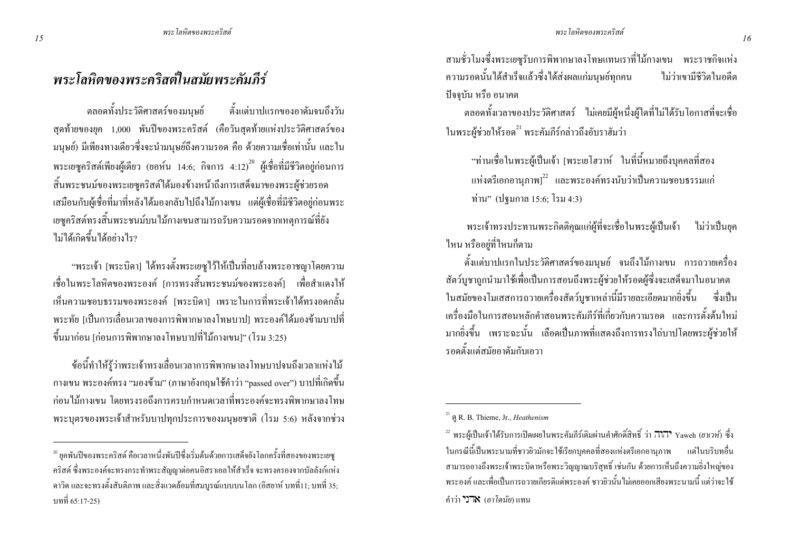## พระโลหิตของพระคริสต์ในสมัยพระคัมภีร์

ตลอดทั้งประวัติศาสตร์ของมนุษย์ ตั้งแต่บาปแรกของอาดัมจนถึงวัน ิสคท้ายของยค 1,000 พันปีของพระคริสต์ (คือวันสดท้ายแห่งประวัติศาสตร์ของ ้มนุษย์) มีเพียงทางเดียวซึ่งจะนำมนุษย์ถึงความรอด คือ ด้วยความเชื่อเท่านั้น และใน พระเยซคริสต์เพียงผู้เดียว (ยอห์น 14:6; กิจการ 4:12) - ผู้เชื้อที่มีชีวิตอย่ก่อนการ สิ้นพระชนม์ของพระเยซูคริสต์ใด้มองข้างหน้าถึงการเสด็จมาของพระผ์ช่วยรอด เสมือนกับผู้เชื่อที่มาที่หลังได้มองกลับไปถึงไม้กางเขน แต่ผู้เชื่อที่มีชีวิตอยู่ก่อนพระ ้เยซคริสต์ทรงสิ้นพระชนม์บนไม้กางเขนสามารถรับความรอดจากเหตุการณ์ที่ยัง ไม่ได้เกิดขึ้นได้อย่างไร?

"พระเจ้า [พระบิดา] ใด้ทรงตั้งพระเยซูไว้ให้เป็นที่ลบล้างพระอาชญาโดยความ ้เชื่อในพระโลหิตของพระองค์ เการทรงสิ้นพระชนม์ของพระองค์1 เพื่อสำแคงให้ ้เห็นความชอบธรรมของพระองค์ [พระบิดา] เพราะในการที่พระเจ้าได้ทรงอดกลั้น ี พระทัย [เป็นการเลื่อนเวลาของการพิพากษาลงโทษบาป1 พระองค์ได้มองข้ามบาปที่ ์ ขึ้นมาก่อน [ก่อนการพิพากษาลงโทษบาปที่ไม้กางเขน]" (โรม 3:25)

้ข้อนี้ทำให้รู้ว่าพระเจ้าทรงเลื่อนเวลาการพิพากษาลงโทษบาปจนถึงเวลาแห่งไม้ ี กางเขน พระองค์ทรง "มองข้าม" (ภาษาอังกฤษใช้คำว่า "passed over") บาปที่เกิดขึ้น ี ก่อนไม้กางเขน โดยทรงรอถึงการครบกำหนดเวลาที่พระองค์จะทรงพิพากษาลงโทษ พระบุตรของพระเจ้าสำหรับบาปทุกประการของมนุษยชาติ (โรม 5:6) หลังจากช่วง ี่ สามชั่วโมงซึ่งพระเยซรับการพิพากษาลงโทษแทนเราที่ไม้กางเขน พระราชกิจแห่ง ้ ความรอคนั้นได้สำเร็จแล้วซึ่งได้ส่งผลแก่มนุษย์ทกคน ไบ่ว่าเขาบี้ชีวิตใบคดีต ปัจจุบัน หรือ อนาคต

ิตลอดทั้งเวลาของประวัติศาสตร์ ไม่เคยมีผู้หนึ่งผู้ใดที่ไม่ได้รับโอกาสที่จะเชื่อ ในพระผู้ช่วยให้รอค<sup>21</sup> พระคัมภีร์กล่าวถึงอับราฮัมว่า

"ท่านเชื่อในพระผ้เป็นเจ้า [พระเยโฮวาห์ ในที่นี้หมายถึงบคคลที่สอง ี แห่งตรีเอกอานภาพ]  $^{22}$  และพระองค์ทรงนับว่าเป็นความชอบธรรมแก่ ท่าน" (ปฐมกาล 15:6; โรม 4:3)

พระเจ้าทรงประทานพระกิตติคณแก่ผ้ที่จะเชื่อในพระผ้เป็นเจ้า ไม่ว่าเป็นยก ไหน หรืออย่ที่ไหนก็ตาม

้ตั้งแต่บาปแรกในประวัติศาสตร์ของมนุษย์ จนถึงไม้กางเขน การถวายเครื่อง สัตว์บูชาถูกนำมาใช้เพื่อเป็นการสอนถึงพระผู้ช่วยให้รอดผู้ซึ่งจะเสด็จมาในอนาคต ในสมัยของโมเสสการถวายเครื่องสัตว์บูชาเหล่านี้มีรายละเอียดมากยิ่งขึ้น ซึ่งเป็น ้ เครื่องมือในการสอนหลักคำสอนพระคัมภีร์ที่เกี่ยวกับความรอด และการตั้งต้นใหม่ ิมากยิ่งขึ้น เพราะฉะนั้น เลือดเป็นภาพที่แสดงถึงการทรงไถ่บาปโดยพระผู้ช่วยให้ รอดตั้งแต่สมัยอาดับกับเอาา

<sup>ื&</sup>lt;sup>20</sup> ยุคพันปีของพระคริสต์ คือเวลาหนึ่งพันปีซึ่งเริ่มต้นด้วยการเสด็จยังโลกครั้งที่สองของพระเยซู ี คริสต์ ซึ่งพระองค์จะทรงกระทำพระสัญญาต่อคนอิสราเอลให้สำเร็จ จะทรงครองจากบัลลังก์แห่ง ิ ดาวิด และจะทรงตั้งสันติภาพ และสิ่งแวดล้อมที่สมบูรณ์แบบบน โลก (อิสยาห์ บทที่11; บทที่ 35; าเทที่ 65·17-25)

 $^{21}$   $\Omega$  R, B, Thieme, Jr., *Heathenism* 

<sup>&</sup>lt;sup>22</sup> พระผู้เป็นเจ้าได้รับการเปิดเผยในพระคัมภีร์เดิมผ่านคำศักดิ์สิทธิ์ ว่า <sub>1</sub>777 Yaweh (*ยาเวท์*) ซึ่ง ในกรณีนี้เป็นพระนามที่ชาวยิวมักจะใช้เรียกบคคลที่สองแห่งตรีเอกอานภาพ แต่ในบริบทอื่น ี่ สามารถอางถึงพระเจ้าพระบิดาหรือพระวิญญาณบริสุทธิ์ เช่นกัน ด้วยการเห็นถึงความยิ่งใหญ่ของ ี พระองค์ และเพื่อเป็นการถวายเกียรติแค่พระองค์ ชาวยิวนั้นไม่เคยออกเสียงพระนามนี้ แต่ว่าจะใช้ ดำว่า "TX" *(ดาโดบัย*) แทบ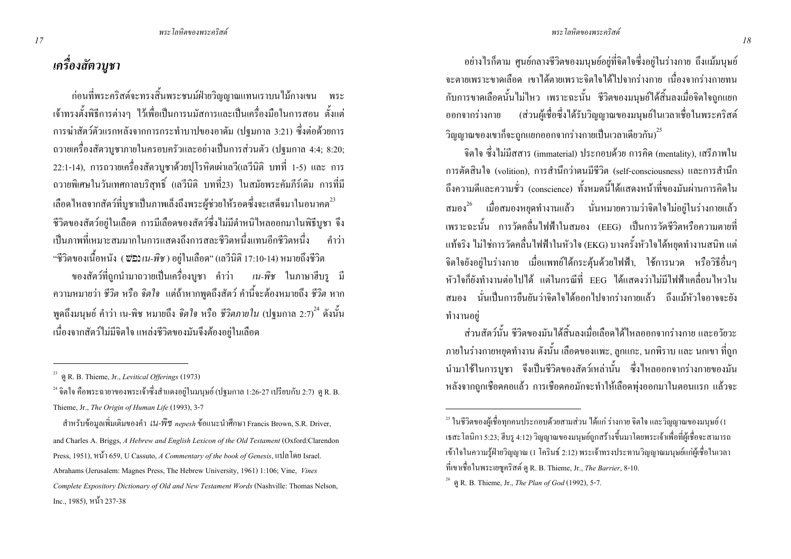## เครื่องสัตวบูชา

ี ก่อนที่พระคริสต์จะทรงสิ้นพระชนม์ฝ่ายวิณฌาณแทนเราบนไม้กางเขน พระ ้ เจ้าทรงตั้งพิธีการต่างๆ ไว้เพื่อเป็นการนมัสการและเป็นเครื่องมือในการสอน ตั้งแต่ ึการฆ่าสัตว์ตัวแรกหลังจากการกระทำบาปของอาดัม (ปฐมกาล 3:21) ซึ่งต่อด้วยการ ิถวายเครื่องสัตวบูชาภายในครอบครัวและอย่างเป็นการส่วนตัว (ปฐมกาล 4:4; 8:20; 22:1-14), การถวายเครื่องสัตวบชาด้วยปโรหิตเผ่าเถวี(เถวีนิติ บทที่ 1-5) และ การ ี ถวายพิเศษในวันเทศกาลบริสทธิ์ (เลวีนิติ บทที่23) ในสมัยพระคัมภีร์เดิม การที่มี ้เลือดใหลจากสัตว์ที่บชาเป็นภาพเล็งถึงพระผ้ช่วยให้รอดซึ่งจะเสด็จมาในอนากต<sup>23</sup> ้ชีวิตของสัตว์อย่ในเลือด การมีเลือดของสัตว์ซึ่งไม่มีตำหนิไหลออกมาในพิธีบชา จึง ้เป็นภาพที่เหมาะสมมากในการแสดงถึงการสละชีวิตหนึ่งแทนอีกชีวิตหนึ่ง ดำว่า "ชีวิตของเนื้อหนัง (*ซ่*อง*เน-พิช* ) อย่ในเลือด" (เลวีนิติ 17:10-14) หมายถึงชีวิต ี ของสัตว์ที่ถกนำมาถวายเป็นเครื่องบชา คำว่า *เน-พิช* ในภาษาฮีบร มี ี ความหมายว่า ชีวิต หรือ จิตใจ แต่ถ้าหากพูดถึงสัตว์ คำนี้จะต้องหมายถึง ชีวิต หาก

ี พดถึงมนุษย์ คำว่า เน-พิช หมายถึง *จิตใจ* หรือ *ชีวิตภายใน* (ปฐมกาล 2:7) <sup>24</sup> ดังนั้น ้เนื่องจากสัตว์ไม่มีจิตใจ แหล่งชีวิตของมันจึงต้องอยู่ในเลือด

 $^{24}$ จิตใจ คือพระฉายาของพระเจ้าซึ่งสำแคงอยู่ในมนุษย์ (ปฐมกาล 1:26-27 เปรียบกับ 2:7) ค.R. B. Thieme, Jr., The Origin of Human Life (1993), 3-7

ี สำหรับข้อมูลเพิ่มเติมของคำ *เน-พิช nepesh* ข้อแนะนำศึกษา Francis Brown, S.R. Driver, and Charles A. Briggs, A Hebrew and English Lexicon of the Old Testament (Oxford:Clarendon Press, 1951), หน้า 659, U Cassuto, A Commentary of the book of Genesis, แปลโดย Israel. Abrahams (Jerusalem: Magnes Press, The Hebrew University, 1961) 1:106; Vine, Vines Complete Expository Dictionary of Old and New Testament Words (Nashville: Thomas Nelson, Inc., 1985), หน้า 237-38

้ อย่างไรก็ตาม ศูนย์กลางชีวิตของมนุษย์อยู่ที่จิตใจซึ่งอยู่ในร่างกาย ถึงแม้มนุษย์ ้ จะตายเพราะขาดเลือด เขาได้ตายเพราะจิตใจได้ไปจากร่างกาย เนื่องจากร่างกายทน ี กับการขาดเลือดนั้นไม่ไหว เพราะฉะนั้น ชีวิตของมนุษย์ได้สิ้นลงเมื่อจิตใจถกแยก ้ ออกจากร่างกาย (ส่วนผู้เชื่อซึ่งได้รับวิญญาณของมนุษย์ในเวลาเชื่อในพระคริสต์ ์วิญญาณของเขาก็จะถกแยกออกจากร่างกายเป็นเวลาเดียวกัน)<sup>25</sup>

จิตใจ ซึ่งไม่มีสสาร (immaterial) ประกอบด้วย การคิด (mentality), เสรีภาพใน ิ การตัดสินใจ (volition), การสำนึกว่าตนมีชีวิต (self-consciousness) และการสำนึก ้ถึงความดีและความชั่ว (conscience) ทั้งหมดนี้ได้แสดงหน้าที่ของมันผ่านการกิดใน ิ สมอง<sup>26</sup> เมื่อสมองหยุดทำงานแล้ว นั่นหมายความว่าจิตใจไม่อยู่ในร่างกายแล้ว ้<br>เพราะฉะบั้น การวัดคลื่นไฟฟ้าใบสมอง (EEG) เป็นการวัดชีวิตหรือความตายที่ แท้จริง ไม่ใช่การวัดคลื่นไฟฟ้าในหัวใจ (EKG) บางครั้งหัวใจได้หยดทำงานสนิท แต่ ้จิตใจยังอยู่ในร่างกาย เมื่อแพทย์ได้กระตุ้นด้วยไฟฟ้า, ใช้การนวด หรือวิธีอื่นๆ ่ หัวใจกี้ยังทำงานต่อไปได้ แต่ในกรณีที่ EEG ได้แสดงว่าไม่มีไฟฟ้าเกลื่อนไหวใน ี่ สมอง นั่นเป็นการยืนยันว่าจิตใจได้ออกไปจากร่างกายแล้ว ถึงแม้หัวใจอาจจะยัง ทำงานอย่

้ ส่วนสัตว์นั้น ชีวิตของมันได้สิ้นลงเมื่อเลือดได้ใหลออกจากร่างกาย และอวัยวะ ิภายในร่างกายหยุดทำงาน ดังนั้น เลือดของแพะ, ลูกแกะ, นกพิราบ และ นกเขา ที่ถูก ี นำมาใช้ในการบูชา จึงเป็นชีวิตของสัตว์เหล่านั้น ซึ่งใหลออกจากร่างกายของมัน หลังจากถกเชือดคอแล้ว การเชือดคอมักจะทำให้เลือดพ่งออกมาในตอนแรก แล้วจะ

P.R. B. Thieme, Jr., Levitical Offerings (1973)

 $^{25}$  ในชีวิตของผู้เชื้อทกคนประกอบด้วยสามส่วน ได้แก่ ร่างกาย จิตใจ และวิณณาณของมนษย์ (1 เธสะโลนิกา 5:23; ฮีบรู 4:12) วิญญาณของมนุษย์ถูกสร้างขึ้นมาโดยพระเจ้าเพื่อที่ผู้เชื่อจะสามารถ ้ เข้าใจในความรู้ฝ่ายวิญญาณ (1 โครินธ์ 2:12) พระเจ้าทรงประทานวิญญาณมนุษย์แก่ผู้เชื่อในเวลา ที่เขาเชื่อในพระเยซคริสต์ ด R. B. Thieme, Jr., *The Barrier*, 8-10.

<sup>&</sup>lt;sup>26</sup> (a) R. B. Thieme, Jr., *The Plan of God* (1992), 5-7.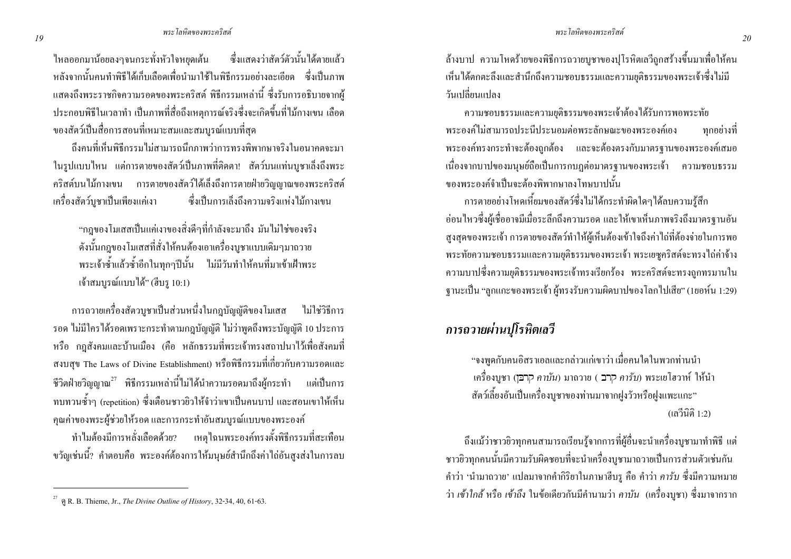ใหลออกมาน้อยลงๆจนกระทั่งหัวใจหยุดเต้น ซึ่งแสดงว่าสัตว์ตัวนั้นได้ตายแล้ว หลังจากบั้นคนทำพิธีได้เก็บเลือดเพื่อนำมาใช้ในพิธีกรรมอย่างละเอียด ซึ่งเป็นภาพ แสดงถึงพระราชกิจความรอดของพระคริสต์ พิธีกรรมเหล่านี้ ซึ่งรับการอธิบายจากผ้ ประกอบพิธีในเวลาทำ เป็นภาพที่สื่อถึงเหตุการณ์จริงซึ่งจะเกิดขึ้นที่ไม้กางเขน เลือด ของสัตว์เป็นสื่อการสอนที่เหมาะสมและสมบรณ์แบบที่สด

้ถึงคนที่เห็นพิธีกรรมไม่สามารถนึกภาพว่าการทรงพิพากษาจริงในอนาคตจะมา ในรูปแบบใหน แต่การตายของสัตว์เป็นภาพที่ติดตา! สัตว์บนแท่นบูชาเล็งถึงพระ ้ คริสต์บนไม้กางเขน การตายของสัตว์ได้เลิ้งถึงการตายฝ่ายวิณณาณของพระคริสต์ ซึ่งเป็นการเล็งถึงความจริงแห่งไม้กางเขน ้เครื่องสัตว์บชาเป็นเพียงแค่เงา

"กฎของโมเสสเป็นแค่เงาของสิ่งดีๆที่กำลังจะมาถึง มันไม่ใช่ของจริง ดังนั้นกฎของโมเสสที่สั่งให้คนต้องเอาเครื่องบูชาแบบเดิมๆมาถวาย ี พระเจ้าซ้ำแล้วซ้ำอีกในทุกๆปีนั้น ไม่มีวันทำให้คนที่มาเข้าเฝ้าพระ เจ้าสมบูรณ์แบบใด้" (ฮีบรุ 10:1)

ี การถวายเครื่องสัตวบชาเป็นส่วนหนึ่งในกฎบัญญัติของโมเสส ไม่ใช่วิธีการ ้ รอค ไม่มีใครได้รอดเพราะกระทำตามกฎบัญญัติ ไม่ว่าพูดถึงพระบัญญัติ 10 ประการ หรือ กฎสังคมและบ้านเมือง (คือ หลักธรรมที่พระเจ้าทรงสถาปนาไว้เพื่อสังคมที่ สงบสุข The Laws of Divine Establishment) หรือพิธีกรรมที่เกี่ยวกับความรอดและ ี่ชีวิตฝ่ายวิญญาณ<sup>27</sup> พิธีกรรมเหล่านี้ไม่ได้นำความรอดมาถึงผู้กระทำ แต่เป็นการ ิทบทวนซ้ำๆ (repetition) ซึ่งเตือนชาวยิวให้จำว่าเขาเป็นคนบาป และสอนเขาให้เห็น ึ คณค่าของพระผู้ช่วยให้รอด และการกระทำอันสมบรณ์แบบของพระองค์

ทำไมต้องมีการหลั่งเลือดด้วย? เหตุใฉนพระองค์ทรงตั้งพิธีกรรมที่สะเทือน ึ ขวัญเช่นนี้? คำตอบคือ พระองค์ต้องการให้มนุษย์สำนึกถึงค่าไถ่อันสูงส่งในการลบ ้ ล้างบาป ความโหดร้ายของพิธีการถวายบชาของปโรหิตเลวีถกสร้างขึ้นมาเพื่อให้คน ้เห็นได้ตกตะลึงและสำนึกถึงความชอบธรรมและความยติธรรมของพระเจ้าซึ่งไม่มี วับเปลี่ยบแปลง

ี ความชอบธรรมและความยติธรรมของพระเจ้าต้องใด้รับการพอพระทัย พระองค์ไม่สามารถประนีประนอมต่อพระลักษณะของพระองค์เอง ิทกอย่างที่ พระองค์ทรงกระทำจะต้องถูกต้อง และจะต้องตรงกับมาตรฐานของพระองค์เสมอ เนื่องจากบาปของมนุษย์ถือเป็นการกบฎต่อมาตรฐานของพระเจ้า ความชอบธรรม ของพระองค์จำเป็นจะต้องพิพากษาลงโทษบาปบั้น

่ การตายอย่างโหดเหี้ยมของสัตว์ซึ่งไม่ได้กระทำผิดใดๆได้ลบความร้สึก ้อ่อนใหวซึ่งผู้เชื้ออาจมีเมื่อระลึกถึงความรอด และให้เขาเห็นภาพจริงถึงมาตรฐานอัน ้สูงสุดของพระเจ้า การตายของสัตว์ทำให้ผู้เห็นต้องเข้าใจถึงค่าไถ่ที่ต้องจ่ายในการพอ พระทัยความชอบธรรมและความยุติธรรมของพระเจ้า พระเยซูคริสต์จะทรงไถ่ค่าจ้าง ี ความบาปซึ่งความยติธรรมของพระเจ้าทรงเรียกร้อง พระคริสต์จะทรงถกทรมานใน ฐานะเป็น "ลูกแกะของพระเจ้า ผู้ทรงรับความผิดบาปของโลกไปเสีย" (1ยอห์น 1:29)

#### ิการถวายผ่านปโรหิตเลวี

"จงพูดกับกนอิสราเอลและกล่าวแก่เขาว่า เมื่อกนใดในพวกท่านนำ ้ เครื่องบูชา (הָרֹבֵ*ן)* มาถวาย ( קָרָב ค*ารับ*) พระเยโฮวาห์ ให้นำ สัตว์เลี้ยงอันเป็นเครื่องบูชาของท่านมาจากฝูงวัวหรือฝูงแพะแกะ" (เลวีนิติ 1:2)

้ถึงแม้ว่าชาวยิวทุกคนสามารถเรียนรู้จากการที่ผู้อื่นจะนำเครื่องบูชามาทำพิธี แต่ ชาวขิวทุกคนนั้นมีความรับผิดชอบที่จะนำเครื่องบูชามาถวายเป็นการส่วนตัวเช่นกัน ี คำว่า 'นำมาถวาย' แปลมาจากคำกิริยาในภาษาฮีบรู คือ คำว่า *คารับ ซึ่*งมีความหมาย ว่า *เข้าใกล้* หรือ *เข้าถึง* ในข้อเดียวกันมีคำนามว่า *คาบัน (*เครื่องบชา) ซึ่งมาจากราก

 $\overline{P}$  R. B. Thieme, Jr., *The Divine Outline of History*, 32-34, 40, 61-63.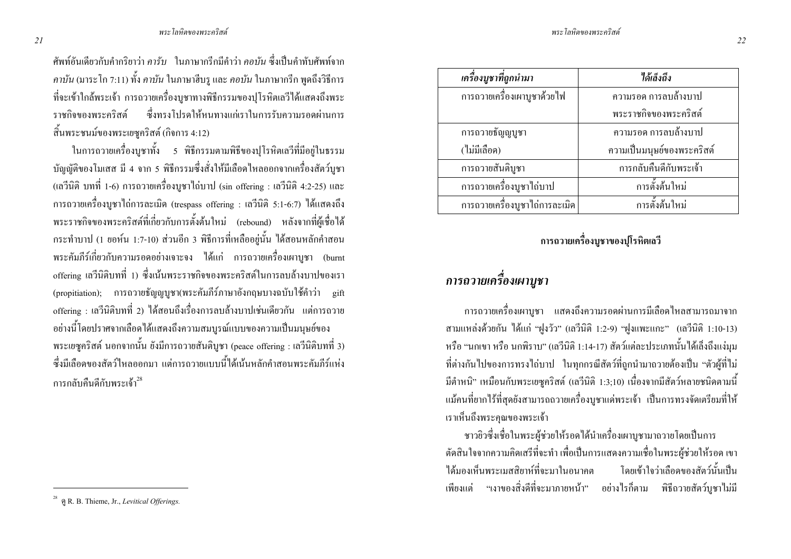ศัพท์อันเคียวกับคำกริยาว่า *คารับ* ในภาษากรีกมีคำว่า *คอบัน ซึ่*งเป็นคำทับศัพท์จาก *คาบัน* (มาระโก 7:11) ทั้ง *คาบัน* ในภาษาฮีบรู และ *คอบัน* ในภาษากรีก พูดถึงวิธีการ ที่จะเข้าใกล้พระเจ้า การถวายเครื่องบูชาทางพิธีกรรมของปุโรหิตเลวีได้แสดงถึงพระ ราชกิจของพ ี ซึ่งทรงโปรดให้หนทางแก่เราในการรับความรอดผ่านการ สิ้นพระชนม์ของพระเยซูคริสต์ (กิจการ 4:12)

ในการถวายเครื่องบูชาทั้ง 5 พิธีกรรมตามพิธีของปุโรหิตเลวีที่มีอยู่ในธรรม บัญญัติของโมเสส มี 4 จาก 5 พิธีกรรมซึ่งสั่งให้มีเลือดใหลออกจากเครื่องสัตว์บูชา (เลวีนิติ บทที่ 1-6) การถวายเครื่องบูชาไถ่บาป (sin offering : เลวีนิติ 4:2-25) และ การถวายเครื่องบูชาไถ่การละเมิด (trespass offering : เลวีนิติ 5:1-6:7) ได้แสดงถึง พระราชกิจของพระคริสต์ที่เกี่ยวกับการตั้งต้นใหม่ (rebound) หลังจากที่ผู้เชื่อได้ กระทำบาป (1 ขอห์น 1:7-10) ส่วนอีก 3 พิธีการที่เหลืออขู่นั้น ได้สอนหลักคำสอน พระคัมภีร์เกี่ยวกับความรอดอย่างเจาะจง "ได้แก่ การถวายเครื่องเผาบูชา (burnt offering เลวีนิติบทที่ 1) ซึ่งเน้นพระราชกิจของพระคริสต์ในการลบล้างบาปของเรา (propitiation); การถวายธัญญบูชา(พระคัมภีร์ภาษาอังกฤษบางฉบับใช้คำว่า gift ่ offering : เลวีนิติบทที่ 2) ได้สอนถึงเรื่องการลบล้างบาปเช่นเดียวกัน แต่การถวาย อย่างนี้โดยปราศจากเลือดได้แสดงถึงความสมบูรณ์แบบของความเป็นมนุษย์ของ พระเยซูกริสต์ นอกจากนั้น ยังมีการถวายสันดิบูชา (peace offering : เลวีนิติบทที่ 3) ซึ่งมีเลือดของสัตว์ใหลออกมา แต่การถวายแบบนี้ได้เน้นหลักคำสอนพระคัมภีร์แห่ง การกลับคืนดีกับพระเจ้า $^{28}\,$ 

| เครื่องบูชาที่ถูกนำมา          | ได้เล็งถึง                 |
|--------------------------------|----------------------------|
| การถวายเครื่องเผาบูชาด้วยไฟ    | ความรอด การลบล้างบาป       |
|                                | พระราชกิจของพระคริสต์      |
| การถวายธัญญูบูชา               | ้ความรอด การลบล้างบาป      |
| (ไม่มีเลือด)                   | ความเป็นมนุษย์ของพระคริสต์ |
| การถวายสันติบูชา               | การกลับคืนดีกับพระเจ้า     |
| การถวายเครื่องบูชาไถ่บาป       | การตั้งต้นใหม่             |
| การถวายเครื่องบูชาไถ่การละเมิด | การตั้งต้นใหม่             |

#### การถวายเครื่องบูชาของปุโรหิตเลวี

## การถวายเครื่องเผาบูชา

่ การถวายเครื่องเผาบชา แสดงถึงความรอดผ่านการมีเลือดไหลสามารถมาจาก สามแหล่งด้วยกัน ได้แก่ "ฝูงวัว" (เลวีนิติ 1:2-9) "ฝูงแพะแกะ" (เลวีนิติ 1:10-13) หรือ "นกเขา หรือ นกพิราบ" (เถวีนิติ 1:14-17) สัตว์แต่ละประเภทนั้นได้เล็งถึงแง่มุม ที่ต่างกันไปของการทรงไถ่บาป ในทุกกรณีสัตว์ที่ถูกนำมาถวายต้องเป็น "ตัวผู้ที่ไม่ มีตำหนิ" เหมือนกับพระเยซูกริสต์ (เลวีนิติ 1:3;10) เนื่องจากมีสัตว์หลายชนิดตามนี้ แม้คนที่ยากใร้ที่สุดยังสามารถถวายเครื่องบูชาแค่พระเจ้า เป็นการทรงจัดเตรียมที่ให้ เราเห็นถึงพระคุณของพระเจ้า

ชาวยิวซึ่งเชื่อในพระผู้ช่วยให้รอคใค้นำเครื่องเผาบูชามาถวายโคยเป็นการ ตัดสินใจจากความคิดเสรีที่จะทำ เพื่อเป็นการแสดงความเชื่อในพระผู้ช่วยให้รอด เขา ได้มองเห็นพระเมสสิยาห์ที่จะมาในอนาคต โดยเข้ ข้าใจว่าเลือดของสัตว์นั้นเป็น เพียงแต่ "เงาของสิ่งดีที่จะมาภายหน้า" อย่างไรก็ตาม พิธีถวายสัตว์บูชาไม่มี

<sup>28</sup> \$( R. B. Thieme, Jr., Levitical Offerings.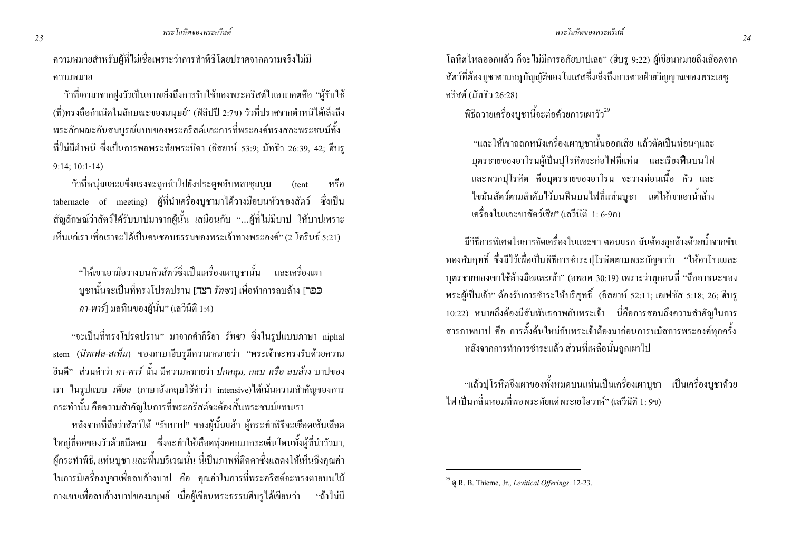่ ความหมายสำหรับผู้ที่ไม่เชื่อเพราะว่าการทำพิธีโดยปราศจากความจริงไม่มี ความหมาย

้ วัวที่เอามาจากฝูงวัวเป็นภาพเล็งถึงการรับใช้ของพระคริสต์ในอนาคตคือ "ผู้รับใช้ (ที่)ทรงถือกำเนิดในลักษณะของมนษย์" (ฟิลิปปี 2:7ข) วัวที่ปราศจากตำหนิได้เล็งถึง พระลักษณะอันสมบรณ์แบบของพระคริสต์และการที่พระองค์ทรงสละพระชนม์ทั้ง ที่ไม่มีตำหนิ ซึ่งเป็นการพอพระทัยพระบิดา (อิสยาห์ 53:9; มัทธิว 26:39, 42; ฮีบรู  $9:14; 10:1-14$ 

วัวที่หน่มและแข็งแรงจะถูกนำไปยังประตูพลับพลาชุมนุม หรือ (tent tabernacle of meeting) ผู้ที่นำเครื่องบูชามาใด้วางมือบนหัวของสัตว์ ซึ่งเป็น ี สัญลักษณ์ว่าสัตว์ได้รับบาปมาจากผู้นั้น เสมือนกับ "...ผู้ที่ไม่มีบาป ให้บาปเพราะ ้ เห็นแก่เรา เพื่อเราจะได้เป็นคนชอบธรรมของพระเจ้าทางพระองค์" (2 โครินธ์ 5:21)

"ให้เขาเอามือวางบนหัวสัตว์ซึ่งเป็นเครื่องเผาบชานั้น และเครื่องเผา ิ บูชานั้นจะเป็นที่ทรงโปรคปราน [עבה] *รัทซา*] เพื่อทำการลบล้าง [עכבר ิ คา-พาร์1 มลทินของผู้นั้น" (เลวีนิติ 1:4)

"จะเป็นที่ทรงโปรดปราน" มาจากคำกิริยา *รัทซา ซึ่*งในรปแบบภาษา niphal stem (นิพเฟล-สเท็ม) ของภาษาฮีบรูมีความหมายว่า "พระเจ้าจะทรงรับด้วยความ ี ส่วนคำว่า *คา-พาร์* นั้น มีความหมายว่า *ปกคลุม, กลบ หรือ ลบล้าง* บาปของ ขินดี" ี่ เรา ในรูปแบบ *เพียล* (ภาษาอังกฤษใช้คำว่า intensive)ได้เน้นความสำคัญของการ ิ กระทำนั้น คือความสำคัญในการที่พระคริสต์จะต้องสิ้นพระชนม์แทนเรา

หลังจากที่ถือว่าสัตว์ได้ "รับบาป" ของผู้นั้นแล้ว ผู้กระทำพิธีจะเชือดเส้นเลือด ใหญ่ที่คอของวัวด้วยมีดคม ซึ่งจะทำให้เลือดพุ่งออกมากระเด็นโดนทั้งผู้ที่นำวัวมา, ้ผู้กระทำพิธี, แท่นบูชา และพื้นบริเวณนั้น นี่เป็นภาพที่ติดตาซึ่งแสดงให้เห็นถึงคุณค่า ในการมีเครื่องบูชาเพื่อลบล้างบาป คือ คุณค่าในการที่พระคริสต์จะทรงตายบนไม้ ึกางเขนเพื่อลบล้างบาปของมนุษย์ เมื่อผู้เขียนพระธรรมฮีบรูได้เขียนว่า "ถ้าไม่มี โลหิตใหลออกแล้ว ก็จะไม่มีการอภัยบาปเลย" (ฮีบรู 9:22) ผู้เขียนหมายถึงเลือดจาก ี สัตว์ที่ต้องบชาตามกภบัณณัติของโมเสสซึ่งเล็งถึงการตายฝ่ายวิณณาณของพระเยซ คริสต์ (มัทธิว 26:28)

้พิธีถวายเครื่องบชานี้จะต่อด้วยการเผาวัว<sup>29</sup>

"และให้เขาถลกหนังเครื่องเผาบชานั้นออกเสีย แล้วตัดเป็นท่อนๆและ ิบตรชายของอาโรนผู้เป็นปโรหิตจะก่อไฟที่แท่น และเรียงฟืนบนไฟ และพวกปุโรหิต คือบุตรชายของอาโรน จะวางท่อนเนื้อ หัว และ ่ ใขมันสัตว์ตามลำดับไว้บนฟืนบนไฟที่แท่นบูชา แต่ให้เขาเอาน้ำล้าง เครื่องใบและขาสัตว์เสีย" (เลวีบิติ 1 6-9ก)

้มีวิธีการพิเศษในการจัดเครื่องในและขา ตอนแรก มันต้องถูกล้างด้วยน้ำจากขัน ทองสัมฤทธิ์ ซึ่งมีไว้เพื่อเป็นพิธีการชำระปโรหิตตามพระบัญชาว่า "ให้อาโรนและ ิบุตรชายของเขาใช้ล้างมือและเท้า" (อพยพ 30:19) เพราะว่าทุกคนที่ "ถือภาชนะของ พระผู้เป็นเจ้า" ต้องรับการชำระให้บริสุทธิ์ (อิสยาห์ 52:11; เอเฟซัส 5:18; 26; ฮีบรู 10:22) หมายถึงต้องมีสัมพันธภาพกับพระเจ้า นี่กือการสอนถึงความสำคัญในการ ี สารภาพบาป คือ การตั้งต้นใหม่กับพระเจ้าต้องมาก่อนการนมัสการพระองค์ทกครั้ง หลังจากการทำการชำระแล้ว ส่วนที่เหลือนั้นถกเผาไป

"แล้วปุโรหิตจึงเผาของทั้งหมดบนแท่นเป็นเครื่องเผาบูชา เป็นเครื่องบูชาด้วย ไฟ เป็นกลิ่นหอมที่พอพระทัยแด่พระเยโฮวาห์" (เลวีนิติ 1: 9ข)

<sup>&</sup>lt;sup>29</sup> og R. B. Thieme, Jr., *Levitical Offerings*. 12-23.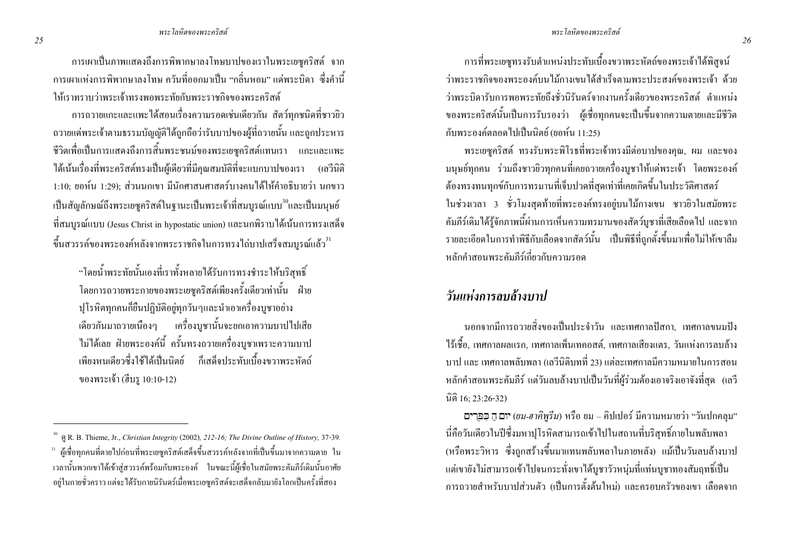ิการเผาเป็นภาพแสดงถึงการพิพากษาลงโทษบาปของเราในพระเยซูคริสต์ จาก ี การเผาแห่งการพิพากษาลงโทษ ควันที่ออกมาเป็น "กลิ่นหอม" แค่พระบิดา ซึ่งคำนี้ ให้เราทราบว่าพระเจ้าทรงพอพระทัยกับพระราชกิจของพระคริสต์

ี การถวายแกะและแพะได้สอนเรื่องความรอคเช่นเดียวกัน สัตว์ทกชนิดที่ชาวยิว ี ถวายแค่พระเจ้าตามธรรมบัญญัติได้ถูกถือว่ารับบาปของผู้ที่ถวายนั้น และถูกประหาร ี่ชีวิตเพื่อเป็นการแสดงถึงการสิ้นพระชนม์ของพระเยซคริสต์แทนเรา แกะและแพะ ใด้เน้นเรื่องที่พระคริสต์ทรงเป็นผู้เดียวที่มีคณสมบัติที่จะแบกบาปของเรา (เลวีนิติ 1:10: ยอห์น 1:29): ส่วนนกเขา มีนักศาสนศาสตร์บางคนได้ให้คำอธิบายว่า นกขาว ้เป็นสัญลักษณ์ถึงพระเยซูคริสต์ในฐานะเป็นพระเจ้าที่สมบูรณ์แบบ<sup>30</sup>และเป็นมนุษย์ ี่ที่สมบรณ์แบบ (Jesus Christ in hypostatic union) และนกพิราบได้เน้นการทรงเสด็จ ้ ขึ้นสวรรค์ของพระองค์หลังจากพระราชกิจในการทรงไถ่บาปเสร็จสมบรณ์แล้ว "

"โดยน้ำพระทัยนั้นเองที่เราทั้งหลายได้รับการทรงชำระให้บริสทธิ์ โดยการถวายพระกายของพระเยซคริสต์เพียงครั้งเดียวเท่านั้น ฝ่าย ปโรหิตทกคนก็ขืนปฏิบัติอย่ทกวันๆและนำเอาเครื่องบชาอย่าง ้เคียวกันมาถวายเนื่องๆ เครื่องบูชานั้นจะยกเอาความบาปไปเสีย ไม่ได้เลย ฝ่ายพระองค์นี้ ครั้นทรงถวายเครื่องบูชาเพราะความบาป เพียงหนเดียวซึ่งใช้ได้เป็นนิตย์ ก็เสด็จประทับเบื้องขวาพระหัตก์ ของพระเจ้า (ฮีบร 10:10-12)

ี การที่พระเยซูทรงรับตำแหน่งประทับเบื้องขวาพระหัตถ์ของพระเจ้าใด้พิสูจน์ ว่าพระราชกิจของพระองค์บบไม้กางเขบได้สำเร็จตามพระประสงค์ของพระเจ้า ด้วย ว่าพระบิดารับการพอพระทัยถึงชั่วนิรันดร์จากงานครั้งเดียวของพระคริสต์ ตำแหน่ง ี ของพระคริสต์นั้นเป็นการรับรองว่า ผู้เชื่อทกคนจะเป็นขึ้นจากความตายและมีชีวิต กับพระองค์ตลอดไปเป็นนิตย์ (ยอห์น 11:25)

พระเยซคริสต์ ทรงรับพระพิโรธที่พระเจ้าทรงมีต่อบาปของคณ, ผม และของ ิมนุษย์ทกคน ร่วมถึงชาวยิวทกคนที่เคยถวายเครื่องบชาให้แค่พระเจ้า โดยพระองค์ ้ต้องทรงทนทุกข์กับการทรมานที่เจ็บปวดที่สุดเท่าที่เคยเกิดขึ้นในประวัติศาสตร์ ในช่วงเวลา 3 ชั่วโมงสุดท้ายที่พระองค์ทรงอยู่บนไม้กางเขน ชาวยิวในสมัยพระ ้คัมภีร์เดิมใด้รู้จักภาพนี้ผ่านการเห็นความทรมานของสัตว์บูชาที่เสียเลือดไป และจาก ้ รายละเอียดในการทำพิธีกับเลือดจากสัตว์นั้น เป็นพิธีที่ถกตั้งขึ้นมาเพื่อไม่ให้เขาลืม หลักคำสุกบพระคัมกีร์เกี่ยวกับความรอด

### วันแห่งการลบล้างบาป

ินอกจากมีการถวายสิ่งของเป็นประจำวัน และเทศกาลปัสกา. เทศกาลขนมปัง ไร้เชื้อ, เทศกาลผลแรก, เทศกาลเพิ่นเทคอสต์, เทศกาลเสียงแตร, วันแห่งการลบล้าง ิ บาป และ เทศกาลพลับพลา (เลวีนิติบทที่ 23) แต่ละเทศกาลมีความหมายในการสอน หลักคำสอนพระคัมภีร์ แต่วันลบล้างบาปเป็นวันที่ผู้ร่วมต้องเอาจริงเอาจังที่สุด (เลวี นิติ 16; 23:26-32)

**רִם הַ כְפַרִים**) หรือ ขม – คิปเปอร์ มีความหมายว่า "วันปกคลุม" นี่คือวันเดียวในปีซึ่งมหาปุโรหิตสามารถเข้าไปในสถานที่บริสุทธิ์ภายในพลับพลา (หรือพระวิหาร ซึ่งถูกสร้างขึ้นมาแทนพลับพลาในภายหลัง) แม้เป็นวันลบล้างบาป แต่เขายังไม่สามารถเข้าไปจนกระทั่งเขาได้บชาวัวหน่มที่แท่นบชาทองสัมฤทธิ์เป็น ี การถวายสำหรับบาปส่วนตัว (เป็นการตั้งต้นใหม่) และครอบครัวของเขา เลือดจาก

P.R. B. Thieme, Jr., Christian Integrity (2002), 212-16; The Divine Outline of History, 37-39. <sup>31</sup> ผู้เชื่อทุกคนที่ตายไปก่อนที่พระเยซูคริสต์เสด็จขึ้นสวรรค์หลังจากที่เป็นขึ้นมาจากความตาย ใน เวลานั้นพวกเขาได้เข้าสู่สวรรค์พร้อมกับพระองค์ ในขณะนี้ผู้เชื่อในสมัยพระคัมภีร์เดิมนั้นอาศัย อยู่ในกายชั่วคราว แต่จะได้รับกายนิรันคร์เมื่อพระเยซูคริสต์จะเสด็จกลับมายังโลกเป็นครั้งที่สอง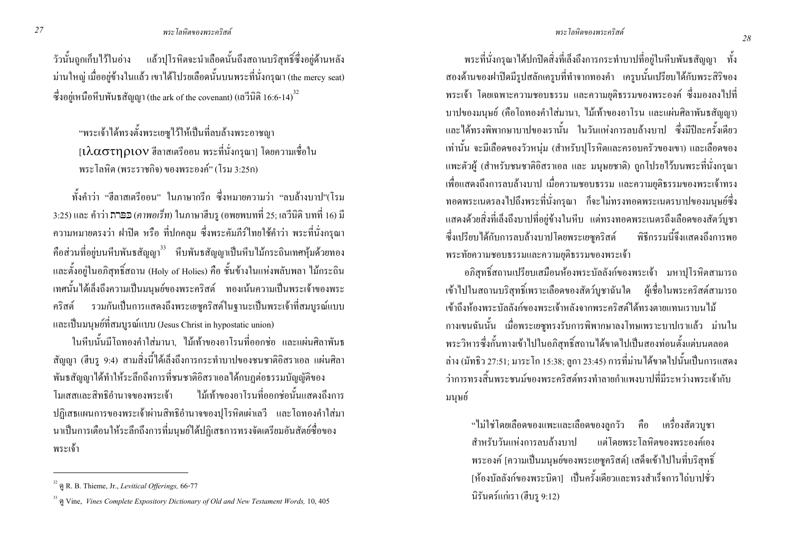#### พระโลหิตของพระคริสต์

้วัวนั้นถกเก็บไว้ในอ่าง แล้วปโรหิตจะนำเลือดนั้นถึงสถานบริสทธิ์ซึ่งอย่ด้านหลัง ม่านใหญ่ เมื่ออยู่ข้างในแล้ว เขาได้โปรยเลือดนั้นบนพระที่นั่งกรุณา (the mercy seat) ซึ่งอยู่เหนือหีบพันธสัญญา (the ark of the covenant) (เลวีนิติ 16:6-14) $^{32}$ 

"พระเจ้าได้ทรงตั้งพระเยซไว้ให้เป็นที่ลบล้างพระอาชฌา  $1$ ไ $\lambda$  $\alpha$  $\sigma$ T $\eta$  $\alpha$ lo $\vee$  ฮีลาสเตรีออน พระที่นั่งกรณา] โดยความเชื่อใน พระโลหิต (พระราชกิจ) ของพระองค์" (โรม 3:25ก)

ทั้งคำว่า "สีลาสเตรีออบ" ใบภาษากรีก ซึ่งหมายความว่า "ลบล้างบาป"(โรม 3:25) และ คำว่า **ภาอว** (คาพอเร็ท) ในภาษาฮีบรู (อพยพบทที่ 25; เลวีนิติ บทที่ 16) มี ้ ความหมายตรงว่า ฝาปิด หรือ ที่ปกคลุม ซึ่งพระคัมภีร์ใทยใช้คำว่า พระที่นั่งกรุณา ี คือส่วนที่อยู่บนหีบพันธสัญญา<sup>33</sup> หีบพันธสัญญาเป็นหีบไม้กระถินเทศหุ้มด้วยทอง และตั้งอยู่ในอภิสุทธิ์สถาน (Holy of Holies) คือ ชั้นข้างในแห่งพลับพลา ไม้กระถิน เทศนั้นได้เล็งถึงความเป็นมนษย์ของพระคริสต์ ทองเน้นความเป็นพระเจ้าของพระ รวมกันเป็นการแสดงถึงพระเยซคริสต์ในจานะเป็นพระเจ้าที่สมบรณ์แบบ คริสต์ และเป็นมนุษย์ที่สมบูรณ์แบบ (Jesus Christ in hypostatic union)

ในหีบนั้นมีโถทองคำใส่มานา. ไม้เท้าของอาโรนที่ออกช่อ และแผ่นศิลาพันธ ี สัญญา (ฮีบรู 9:4) สามสิ่งนี้ได้เล็งถึงการกระทำบาปของชนชาติอิสราเอล แผ่นศิลา พันธสัญญาได้ทำให้ระลึกถึงการที่ชนชาติอิสราเอลได้กบฎต่อธรรมบัญญัติของ ไม้เท้าของอาโรนที่ออกช่อนั้นแสดงถึงการ โมเสสและสิทธิอำนาจของพระเจ้า ปฏิเสธแผนการของพระเจ้าผ่านสิทธิอำนาจของปุโรหิตเผ่าเลวี และโถทองคำใส่มา นาเป็นการเตือนให้ระลึกถึงการที่มนุษย์ใค้ปฏิเสธการทรงจัดเตรียมอันสัตย์ซื่อของ พระเจ้า

พระที่นั่งกรณาได้ปกปิดสิ่งที่เล็งถึงการกระทำบาปที่อย่ในหีบพันธสัญญา ทั้ง ี สองด้านของฝาปิดมีรปสลักเครบที่ทำจากทองคำ เครบนั้นเปรียบได้กับพระสิริของ พระเจ้า โดยเฉพาะความชอบธรรม และความยุติธรรมของพระองค์ ซึ่งมองลงไปที่ ้ บาปของมนุษย์ (คือโถทองคำใส่มานา, ไม้เท้าของอาโรน และแผ่นศิลาพันธสัญญา) และได้ทรงพิพากษาบาปของเรานั้น ในวันแห่งการลบล้างบาป ซึ่งมีปีละครั้งเดียว ้ เท่านั้น จะมีเลือดของวัวหนุ่ม (สำหรับปุโรหิตและครอบครัวของเขา) และเลือดของ ี แพะตัวผู้ (สำหรับชนชาติอิสราเอล และ มนุษยชาติ) ถูกโปรยไว้บนพระที่นั่งกรุณา ้เพื่อแสดงถึงการลบล้างบาป เมื่อความชอบธรรม และความยติธรรมของพระเจ้าทรง ิทอดพระเนตรลงไปถึงพระที่นั่งกรุณา ก็จะไม่ทรงทอดพระเนตรบาปของมนุษย์ซึ่ง แสดงด้วยสิ่งที่เล็งถึงบาปที่อยู่ข้างในหีบ แต่ทรงทอดพระเนตรถึงเลือดของสัตว์บูชา ซึ่งเปรียบได้กับการลบล้างบาปโดยพระเยซคริสต์ พิธีกรรมนี้จึงแสดงถึงการพอ พระทัยความชอบธรรมและความยุติธรรมของพระเจ้า

้ อภิสทธิ์สถานเปรียบเสมือนห้องพระบัลลังก์ของพระเจ้า มหาปโรหิตสามารถ ้ เข้าไปในสถานบริสทธิ์เพราะเลือดของสัตว์บชาฉันใด ผู้เชื้อในพระคริสต์สามารถ ้เข้าถึงห้องพระบัลลังก์ของพระเจ้าหลังจากพระคริสต์ได้ทรงตายแทบเราบนไม้ ี กางเขนฉันนั้น เมื่อพระเยซุทรงรับการพิพากษาลงโทษเพราะบาปเราแล้ว ม่านใน ้ พระวิหารซึ่งกั้นทางเข้าไปในอภิสุทธิ์สถานได้ขาดไปเป็นสองท่อนตั้งแต่บนตลอด ้ล่าง (มัทธิว 27:51; มาระ โก 15:38; ลูกา 23:45) การที่ม่าน ได้ขาด ไปนั้นเป็นการแสดง ว่าการทรงสิ้นพระชนม์ของพระคริสต์ทรงทำลายกำแพงบาปที่มีระหว่างพระเจ้ากับ มนุษย์

"ใม่ใช่โคยเลือดของแพะและเลือดของลูกวัว คือ เครื่องสัตวบูชา สำหรับวันแห่งการลบล้างบาป แต่โดยพระโลหิตของพระองค์เอง พระองค์ [ความเป็นมนุษย์ของพระเยซูคริสต์] เสด็จเข้าไปในที่บริสุทธิ์ ้ เห้องบัลลังก์ของพระบิดา1 เป็นครั้งเดียวและทรงสำเร็จการไถ่บาปชั่ว นิรันคร์แก่เรา (ฮีบร 9:12)

<sup>&</sup>lt;sup>32</sup> ดู R. B. Thieme, Jr., Levitical Offerings, 66-77

<sup>&</sup>lt;sup>33</sup> @ Vine, *Vines Complete Expository Dictionary of Old and New Testament Words*, 10, 405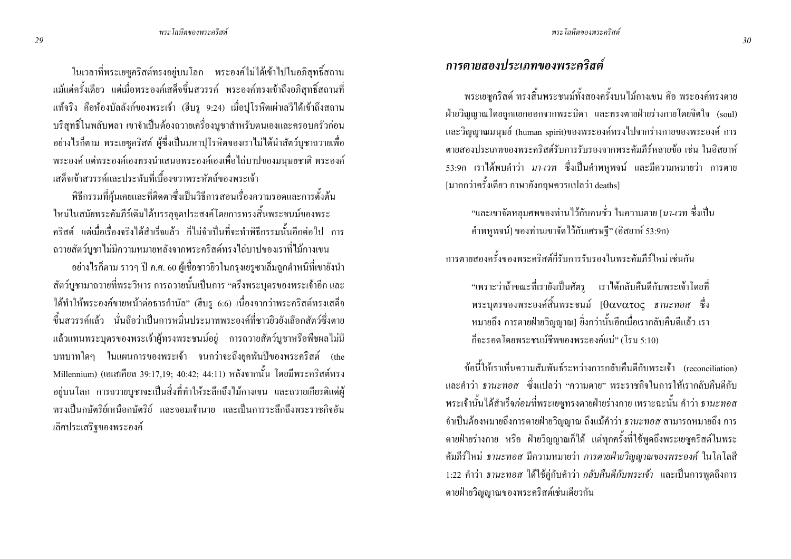ในเวลาที่พระเยซูคริสต์ทรงอยู่บนโลก พระองค์ไม่ได้เข้าไปในอภิสุทธิ์สถาน แม้แต่ครั้งเดียว แต่เมื่อพระองค์เสด็จขึ้นสวรรค์ พระองค์ทรงเข้าถึงอภิสุทธิ์สถานที่ แท้จริง คือห้องบัลลังก์ของพระเจ้า (ฮีบรู 9:24) เมื่อปุโรหิตเผ่าเลวีได้เข้าถึงสถาน บริสุทธิ์ในพลับพลา เขาจำเป็นต้องถวายเครื่องบูชาสำหรับตนเองและครอบครัวก่อน อย่างใรก็ตาม พระเยซูกริสต์ ผู้ซึ่งเป็นมหาปุโรหิตของเราไม่ได้นำสัตว์บูชาถวายเพื่อ พระองค์ แต่พระองค์เองทรงนำเสนอพระองค์เองเพื่อไถ่บาปของมนุษยชาติ พระองค์ เสด็จเข้าสวรรค์และประทับที่เบื้องขวาพระหัตถ์ของพระเจ้า

พิธีกรรมที่คุ้นเคยและที่ติดตาซึ่งเป็นวิธีการสอนเรื่องความรอดและการตั้งต้น ใหม่ในสมัยพระคัมภีร์เคิมใด้บรรลุจุดประสงค์โคยการทรงสิ้นพระชนม์ของพระ คริสต์ แต่เมื่อเรื่องจริงได้สำเร็จแล้ว ก็ไม่จำเป็นที่จะทำพิธีกรรมนั้นอีกต่อไป การ ถวายสัตว์บูชาไม่มีความหมายหลังจากพระคริสต์ทรงไถ่บาปของเราที่ไม้กางเขน

อย่างไรก็ตาม ราวๆ ปี ค.ศ. 60 ผู้เชื่อชาวยิวในกรุงเยรูซาเล็มถูกตำหนิที่เขายังนำ สัตว์บูชามาถวายที่พระวิหาร การถวายนั้นเป็นการ "ตรึงพระบุตรของพระเจ้าอีก และ ใด้ทำให้พระองค์ขายหน้าต่อธารกำนัล" (ฮีบรู 6:6) เนื่องจากว่าพระคริสต์ทรงเสด็จ ขึ้นสวรรค์แล้ว นั่นถือว่าเป็นการหมิ่นประมาทพระองค์ที่ชาวยิวยังเลือกสัตว์ซึ่งตาย แล้วแทนพระบุตรของพระเจ้าผู้ทรงพระชนม์อยู่ การถวายสัตว์บูชาหรือพืชผลใม่มี บทบาทใคๆ ในแผนการของพระเจ้า จนกว่าจะถึงยุคพันปีของพระคริสต์ (the Millennium) (เอเสเกียล 39:17,19; 40:42; 44:11) หลังจากนั้น โดยมีพระคริสต์ทรง อยู่บนโลก การถวายบูชาจะเป็นสิ่งที่ทำให้ระลึกถึงไม้กางเขน และถวายเกียรติแค่ผู้ ทรงเป็นกษัตริย์เหนือกษัตริย์ และจอมเจ้านาย และเป็นการระลึกถึงพระราชกิจอัน เลิศประเสริฐของพระองค์

### การตายสองประเภทของพระคริสต์

พระเยซูคริสต์ ทรงสิ้นพระชนม์ทั้งสองครั้งบนไม้กางเขน คือ พระองค์ทรงตาย ฝ่ายวิญญาณโดยถูกแยกออกจากพระบิดา และทรงตายฝ่ายร่างกายโดยจิตใจ (soul) และวิญญาณมนุษย์ (human spirit)ของพระองค์ทรงไปจากร่างกายของพระองค์ การ ตายสองประเภทของพระคริสต์รับการรับรองจากพระคัมภีร์หลายข้อ เช่น ในอิสยาห์ 53:9ก เราได้พบคำว่า *มา-เวท* ซึ่งเป็นคำพหูพจน์ และมีความหมายว่า การตาย [มากกว่าครั้งเดียว ภาษาอังกฤษควรแปลว่า deaths]

"และเขาจัดหลุมศพของท่านไว้กับคนชั่ว ในความตาย [*มา-เวท ซึ่*งเป็น คำพหูพจน์] ของท่านเขาจัดไว้กับเศรษฐี" (อิสยาห์ 53:9ก)

การตายสองครั้งของพระคริสต์กี่รับการรับรองในพระคัมกีร์ใหม่ เช่นกัน

"เพราะว่าถ้าขณะที่เรายังเป็นศัตรู เราได้กลับกืนดีกับพระเจ้าโดยที่ พระบุตรของพระองค์สิ้นพระชนม์ [θανατος ธ*านะทอส* ซึ่ง ่ หมายถึง การตายฝ่ายวิญญาณ] ซึ่งกว่านั้นอีกเมื่อเรากลับคืนคีแล้ว เรา ก็จะรอคโคยพระชนม์ชีพของพระองค์แน่" (โรม 5:10)

ข้อนี้ให้เราเห็นความสัมพันธ์ระหว่างการกลับคืนดีกับพระเจ้า (reconciliation) และคำว่า *ธานะทอส ซึ่ง*แปลว่า "ความตาย" พระราชกิจในการให้เรากลับคืนดีกับ พระเจ้านั้น ได้สำเร็จ*ก่อน*ที่พระเยซูทรงตายฝ่ายร่างกาย เพราะฉะนั้น คำว่า *ธานะทอส* จำเป็นต้องหมายถึงการตายฝ่ายวิญญาณ ถึงแม้คำว่า *ธานะทอส* สามารถหมายถึง การ ตายฝ่ายร่างกาย หรือ ฝ่ายวิญญาณก็ได้ แต่ทุกครั้งที่ใช้พูดถึงพระเยซูคริสต์ในพระ คัมภีร์ใหม่ *ธานะทอส* มีความหมายว่า *การตายฝ่ายวิญญาณของพระองค์* ในโคโลสี 1:22 คำว่า *ธานะทอส* ได้ใช้ถู่กับคำว่า *กลับคืนดีกับพระเจ้า* และเป็นการพูดถึงการ ตายฝ่ายวิญญาณของพระคริสต์เช่นเดียวกัน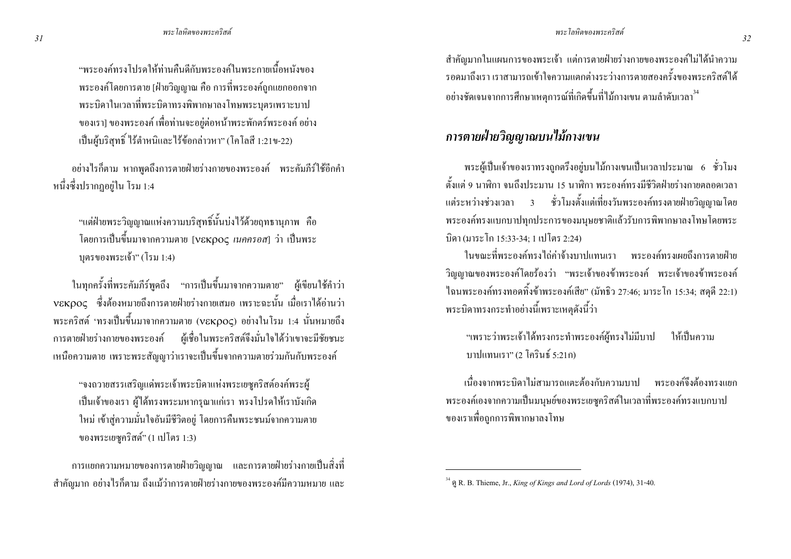"พระองค์ทรงโปรดให้ท่านคืนดีกับพระองค์ในพระกายเนื้อหนังของ พระองค์โคยการตาย [ฝ่ายวิญญาณ คือ การที่พระองค์ถูกแยกออกจาก พระบิดาในเวลาที่พระบิดาทรงพิพากษาลงโทษพระบุตรเพราะบาป ของเรา] ของพระองค์ เพื่อท่านจะอยู่ต่อหน้าพระพักตร์พระองค์ อย่าง เป็นผู้บริสุทธิ์ ไร้ตำหนิและไร้ข้อกล่าวหา" (โคโลสี 1:21ข-22)

อย่างไรก็ตาม หากพูดถึงการตายฝ่ายร่างกายของพระองค์ พระคัมภีร์ใช้อีกคำ หนึ่งซึ่งปรากฏอยู่ใน โรม 1:4

"แต่ฝ่ายพระวิญญาณแห่งความบริสุทธิ์นั้นบ่งไว้ด้วยฤทธานุภาพ คือ โดยการเป็นขึ้นมาจากความตาย [νεκρος *เนคครอส*] ว่า เป็นพระ บุตรของพระเจ้า" (โรม 1:4)

ในทุกครั้งที่พระคัมภีร์พูดถึง "การเป็นขึ้นมาจากความตาย" ผู้เขียนใช้คำว่า νεκρος ซึ่งต้องหมายถึงการตายฝ่ายร่างกายเสมอ เพราะฉะนั้น เมื่อเราได้อ่านว่า พระคริสต์ 'ทรงเป็นขึ้นมาจากความตาย (vɛкρoς) อย่างในโรม 1:4 นั่นหมายถึง การตายฝ่ายร่างกายของพระองค์ ผู้เชื่อในพระคริสต์จึงมั่นใจได้ว่าเขาจะมีชัยชนะ เหนือความตาย เพราะพระสัญญาว่าเราจะเป็นขึ้นจากความตายร่วมกันกับพระองค์

"จงถวายสรรเสริญแค่พระเจ้าพระบิดาแห่งพระเยซูคริสต์องค์พระผู้ เป็นเจ้าของเรา ผู้ใค้ทรงพระมหากรุณาแก่เรา ทรงโปรคให้เราบังเกิด ใหม่ เข้าสู่ความมั่นใจอันมีชีวิตอยู่ โดยการคืนพระชนม์จากความตาย ของพระเยซูคริสต์" (1 เปโตร 1:3)

การแขกความหมายของการตายฝ่ายวิญญาณ และการตายฝ่ายร่างกายเป็นสิ่งที่ สำคัญมาก อย่างไรก็ตาม ถึงแม้ว่าการตายฝ่ายร่างกายของพระองค์มีความหมาย และ

สำคัญมากในแผนการของพระเจ้า แต่การตายฝ่ายร่างกายของพระองค์ไม่ได้นำความ รอดมาถึงเรา เราสามารถเข้าใจความแตกต่างระว่างการตายสองครั้งของพระคริสต์ใด้ อย่างชัดเจนจากการศึกษาเหตุการณ์ที่เกิดขึ้นที่ไม้กางเขน ตามลำดับเวลา<sup>34</sup>

### การตายฝ่ายวิญญาณบนไม้กางเขน

พระผู้เป็นเจ้าของเราทรงถูกตรึงอยู่บนไม้กางเขนเป็นเวลาประมาณ 6 ชั่วโมง ตั้งแต่ 9 นาฬิกา จนถึงประมาน 15 นาฬิกา พระองค์ทรงมีชีวิตฝ่ายร่างกายตลอดเวลา แต่ระหว่างช่วงเวลา 3 ชั่วโมงตั้งแต่เที่ยงวันพระองค์ทรงตายฝ่ายวิญญาณโดย พระองค์ทรงแบกบาปทุกประการของมนุษยชาติแล้วรับการพิพากษาลงโทษโดยพระ บิดา (มาระ โก 15:33-34; 1 เปโตร 2:24)

ในขณะที่พระองค์ทรงใถ่ค่าจ้างบาปแทนเรา พระองค์ทรงเผยถึงการตายฝ่าย วิญญาณของพระองค์โดยร้องว่า "พระเจ้าของข้าพระองค์ พระเจ้าของข้าพระองค์ ใฉนพระองค์ทรงทอดทิ้งข้าพระองค์เสีย" (มัทธิว 27:46; มาระโก 15:34; สดุดี 22:1) พระบิดาทรงกระทำอย่างนี้เพราะเหตุดังนี้ว่า

"เพราะว่าพระเจ้าใด้ทรงกระทำพระองค์ผู้ทรงไม่มีบาป ให้เป็นความ บาปแทนเรา" (2 โครินธ์ 5:21ก)

เนื่องจากพระบิดาไม่สามารถแตะต้องกับความบาป พระองค์จึงต้องทรงแยก พระองค์เองจากความเป็นมนุษย์ของพระเยซูคริสต์ในเวลาที่พระองค์ทรงแบกบาป ของเราเพื่อถูกการพิพากษาลงโทษ

 $34$  & R. B. Thieme, Jr., King of Kings and Lord of Lords (1974), 31-40.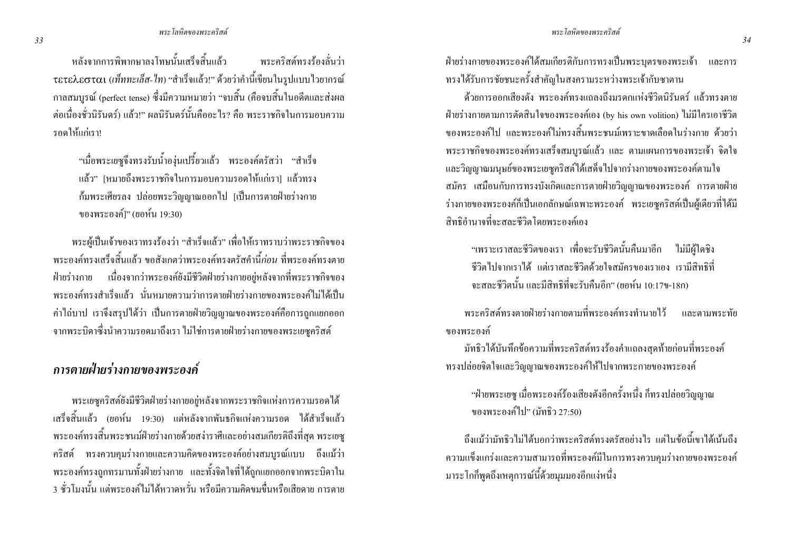หลังจากการพิพากษาลงโทษนั้นเสร็จสิ้นแล้ว พระคริสต์ทรงร้องลั่บว่า τετελεσται (เท็ททะเล็ส-ไท) "สำเร็จแล้ว!" ด้วยว่าคำนี้เขียนในรูปแบบไวยากรณ์ ิกาลสมบูรณ์ (perfect tense) ซึ่งมีความหมายว่า "จบสิ้น (คือจบสิ้นในอดีตและส่งผล ต่อเบื่องช้าบิรับดร์) แล้ว!" ผลบิรับดร์บั้บคืออะไร? คือ พระราชกิจใบการบอบความ รอดให้แก่เรา!

"เมื่อพระเยซูจึงทรงรับน้ำองุ่นเปรี้ยวแล้ว พระองค์ตรัสว่า "สำเร็จ แล้ว" [หมายถึงพระราชกิจในการมอบความรอดให้แก่เรา] แล้วทรง ้ก้มพระเศียรลง ปล่อยพระวิญญาณออกไป [เป็นการตายฝ่ายร่างกาย ของพระองค์1" (ยอห์น 19:30)

พระผู้เป็นเจ้าของเราทรงร้องว่า "สำเร็จแล้ว" เพื่อให้เราทราบว่าพระราชกิจของ ี พระองค์ทรงเสร็จสิ้นแล้ว ขอสังเกตว่าพระองค์ทรงตรัสคำนี้*ก่อน* ที่พระองค์ทรงตาย ้ฝ่ายร่างกาย เนื่องจากว่าพระองค์ยังมีชีวิตฝ่ายร่างกายอย่หลังจากที่พระราชกิจของ ่ พระองค์ทรงสำเร็จแล้ว นั่นหมายความว่าการตายฝ่ายร่างกายของพระองค์ไม่ได้เป็น ้ค่าใถ่บาป เราจึงสรุปใด้ว่า เป็นการตายฝ่ายวิญญาณของพระองค์คือการถูกแยกออก ิ จากพระบิดาซึ่งนำความรอดมาถึงเรา ไม่ใช่การตายฝ่ายร่างกายของพระเยซูคริสต์

### ิการตายฝ่ายร่างกายของพระองค์

พระเยซูคริสต์ยังมีชีวิตฝ่ายร่างกายอยู่หลังจากพระราชกิจแห่งการความรอดได้ เสร็จสิ้นแล้ว (ยอห์น 19:30) แต่หลังจากพันธกิจแห่งความรอด ได้สำเร็จแล้ว ี พระองค์ทรงสิ้นพระชนม์ฝ่ายร่างกายด้วยสง่าราศีและอย่างสมเกียรติถึงที่สุด พระเยซู ้คริสต์ ทรงควบคุมร่างกายและความคิดของพระองค์อย่างสมบูรณ์แบบ ถึงแม้ว่า ี พระองค์ทรงถูกทรมานทั้งฝ่ายร่างกาย และทั้งจิตใจที่ได้ถูกแยกออกจากพระบิดาใน . 3 ชั่วโมงนั้น แต่พระองค์ไม่ได้หวาดหวั่น หรือมีความคิดขมขื่นหรือเสียดาย การตาย

ฝ่ายร่างกายของพระองค์ได้สมเกียรติกับการทรงเป็นพระบุตรของพระเจ้า และการ ทรงได้รับการชัยชนะครั้งสำคัญในสงครามระหว่างพระเจ้ากับซาตาน

้ด้วยการออกเสียงดัง พระองค์ทรงแถลงถึงบรดกแห่งชีวิตบิรับดร์ แล้วทรงตาย ฝ่ายร่างกายตามการตัดสินใจของพระองค์เอง (by his own volition) ไม่มีใครเอาชีวิต ี ของพระองค์ไป และพระองค์ไม่ทรงสิ้นพระชนม์เพราะขาดเลือดในร่างกาย ด้วยว่า ี พระราชกิจของพระองค์ทรงเสร็จสมบรณ์แล้ว และ ตามแผนการของพระเจ้า จิตใจ ่ และวิญญาณมนุษย์ของพระเยซูคริสต์ใด้เสด็จไปจากร่างกายของพระองค์ตามใจ ิสมัคร เสมือนกับการทรงบังเกิดและการตายฝ่ายวิญญาณของพระองค์ การตายฝ่าย ร่างกายของพระองค์ก็เป็นเอกลักษณ์เฉพาะพระองค์ พระเยซูคริสต์เป็นผู้เดียวที่ได้มี สิทธิอำนาจที่จะสละชีวิตโดยพระองค์เอง

"เพราะเราสละชีวิตของเรา เพื่อจะรับชีวิตนั้นคืนมาอีก ไม่มีฝ้ใดชิง ้ชีวิตใปจากเราได้ แต่เราสละชีวิตด้วยใจสมัครของเราเอง เรามีสิทธิที่ จะสละชีวิตนั้น และมีสิทธิที่จะรับคืนอีก" (ยอห์น 10:17ข-18ก)

ี พระคริสต์ทรงตายฝ่ายร่างกายตามที่พระองค์ทรงทำนายไว้ และตามพระทัย ของพระองค์

้มัทธิวได้บันทึกข้อความที่พระคริสต์ทรงร้องคำแถลงสดท้ายก่อนที่พระองค์ ทรงปล่อยจิตใจและวิณฌาณของพระองค์ให้ไปจากพระกายของพระองค์

"ฝ่ายพระเยซู เมื่อพระองค์ร้องเสียงดังอีกครั้งหนึ่ง ก็ทรงปล่อยวิญญาณ ของพระองค์ไป" (มัทธิว 27:50)

้ถึงแม้ว่ามัทธิวไม่ได้บอกว่าพระคริสต์ทรงตรัสอย่างไร แต่ในข้อนี้เขาได้เน้นถึง ้ความแข็งแกร่งและความสามารถที่พระองค์มีในการทรงควบคุมร่างกายของพระองค์ ้มาระโกกีพูดถึงเหตุการณ์นี้ด้วยมุมมองอีกแง่หนึ่ง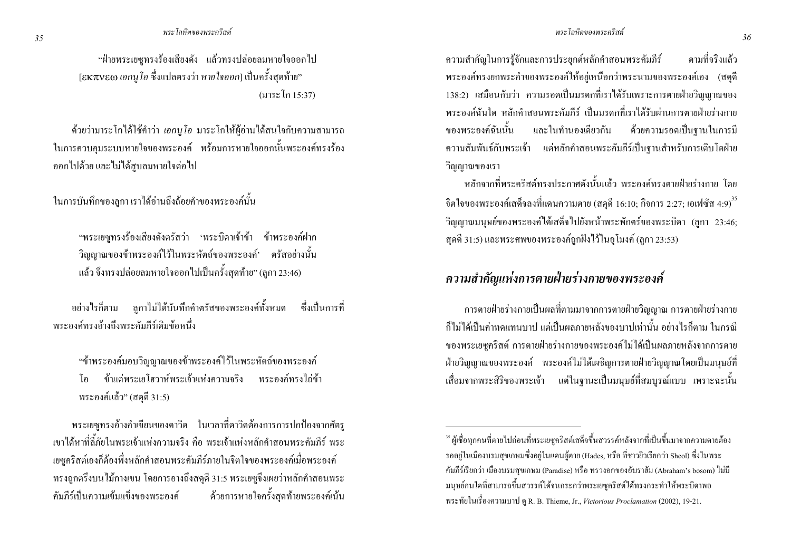"ฝ่ายพระเยซุทรงร้องเสียงดัง แล้วทรงปล่อยลมหายใจออกไป ี [εκπνεω ιอกน โอ ซึ่งแปลตรงว่า หายใจออก] เป็นครั้งสุดท้าย" (มาระโก 15:37)

้ด้วยว่ามาระโกได้ใช้คำว่า *เอกนโอ* มาระโกให้ผ้อ่านได้สนใจกับความสามารถ ในการควบคุมระบบหายใจของพระองค์ พร้อมการหายใจออกนั้นพระองค์ทรงร้อง ้ออกไปด้วย และไม่ได้สบลมหายใจต่อไป

ในการบันทึกของลกา เราได้อ่านถึงถ้อยคำของพระองค์นั้น

"พระเยซุทรงร้องเสียงดังตรัสว่า 'พระบิดาเจ้าข้า ข้าพระองค์ฝาก ้วิญญาณของข้าพระองค์ไว้ในพระหัตถ์ของพระองค์' ตรัสอย่างนั้น ้ แล้ว จึงทรงปล่อยลมหายใจออกไปเป็นครั้งสดท้าย" (ลกา 23:46)

ี ลูกาไม่ได้บันทึกคำตรัสของพระองค์ทั้งหมด - ซึ่งเป็นการที่ อย่างไรก็ตาม พระองค์ทรงค้างถึงพระคัมกีร์เดิมข้อหนึ่ง

"ข้าพระองค์มอบวิณฌาณของข้าพระองค์ไว้ในพระหัตถ์ของพระองค์ ข้าแต่พระเยโสาาห์พระเจ้าแห่งคาบเจริง พระคงค์ทรงไก่ข้า โด พระองค์แล้ว" (สคุดี 31:5)

พระเยซูทรงอ้างคำเขียนของคาวิค ในเวลาที่คาวิคต้องการการปกป้องจากศัตรู ่ เขาได้หาที่ลี้ภัยในพระเจ้าแห่งความจริง คือ พระเจ้าแห่งหลักคำสอนพระคัมกีร์ พระ เยซูคริสต์เองก็ต้องพึ่งหลักคำสอนพระคัมภีร์ภายในจิตใจของพระองค์เมื่อพระองค์ ทรงถูกตรึงบนไม้กางเขน โดยการอางถึงสดุดี 31:5 พระเยซูจึงเผยว่าหลักคำสอนพระ ดัมกีร์เป็นความเข้มแข็งของพระองค์ ด้วยการหายใจครั้งสดท้ายพระองค์เน้น ความสำคัญในการรู้จักและการประยุกต์หลักคำสอนพระคัมภีร์ ิตาบที่จริงแล้ว ี พระองค์ทรงยกพระคำของพระองค์ให้อยู่เหนือกว่าพระนามของพระองค์เอง (สดดี 138:2) เสมือนกับว่า ความรอคเป็นมรดกที่เราได้รับเพราะการตายฝ่ายวิญญาณของ ี พระองค์ฉับใด หลักคำสอบพระคับกีร์ เป็นบรดกที่เราได้รับผ่าบการตายฝ่ายร่างกาย ของพระองค์ฉับบั้น และใบทำบองเดียวกับ ด้วยความรอดเป็นฐานในการมี ้ความสัมพันธ์กับพระเจ้า แต่หลักคำสอนพระคัมภีร์เป็นฐานสำหรับการเติบโตฝ่าย วิญญาณของเรา

หลักจากที่พระคริสต์ทรงประกาศดังบั้นแล้ว พระองค์ทรงตายฝ่ายร่างกาย โดย จิตใจของพระองค์เสด็จลงที่แดนความตาย (สดฺดี 16:10; กิจการ 2:27; เอเฟซัส 4:9) $^{\rm 35}$ วิญญาณมนุษย์ของพระองค์ได้เสด็จไปยังหน้าพระพักตร์ของพระบิดา (ลกา 23:46: ิสคดี 31:5) และพระศพของพระองค์ถกฝังไว้ในอโมงค์ (ลกา 23:53)

### ิ ความสำคัญแห่งการตายฝ่ายร่างกายของพระองค์

ิ การตายฝ่ายร่างกายเป็นผลที่ตามมาจากการตายฝ่ายวิญญาณ การตายฝ่ายร่างกาย ้ก็ไม่ได้เป็นค่าทดแทนบาป แต่เป็นผลภายหลังของบาปเท่านั้น อย่างไรก็ตาม ในกรณี ึ ของพระเยซคริสต์ การตายฝ่ายร่างกายของพระองค์ไม่ได้เป็นผลภายหลังจากการตาย ้ฝ่ายวิญญาณของพระองค์ พระองค์ใม่ได้เผชิญการตายฝ่ายวิญญาณโดยเป็นมนุษย์ที่ เสื่อมจากพระสิริของพระเจ้า แต่ในฐานะเป็นมนุษย์ที่สมบูรณ์แบบ เพราะฉะนั้น

<sup>&</sup>lt;sup>35</sup> ผู้เชื้อทกคนที่ตายไปก่อนที่พระเยซคริสต์เสด็จขึ้นสวรรค์หลังจากที่เป็นขึ้นมาจากความตายต้อง รออยู่ในเมืองบรมสุขเกษมซึ่งอยู่ในแคนผู้ตาย (Hades, หรือ ที่ชาวยิวเรียกว่า Sheol) ซึ่งในพระ ้ คัมภีร์เรียกว่า เมืองบรมสุขเกษม (Paradise) หรือ ทรวงอกของอับราฮัม (Abraham's bosom) ใม่มี มนุษย์คนใดที่สามารถขึ้นสวรรค์ได้จนกระกว่าพระเยซุคริสต์ได้ทรงกระทำให้พระบิดาพอ พระทัยในเรื่องความบาป ดู R. B. Thieme, Jr., Victorious Proclamation (2002), 19-21.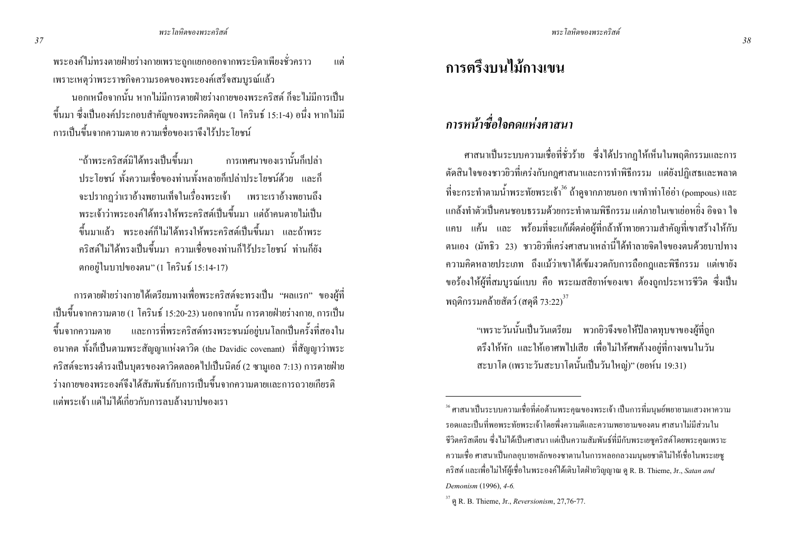พระองค์ไม่ทรงตายฝ่ายร่างกายเพราะถูกแยกออกจากพระบิดาเพียงชั่วคราว ี แต่ เพราะเหตุว่าพระราชกิจความรอดของพระองค์เสร็จสมบูรณ์แล้ว

ินอกเหนือจากนั้น หากไม่มีการตายฝ่ายร่างกายของพระคริสต์ ก็จะไม่มีการเป็น ์ ขึ้นมา ซึ่งเป็นองค์ประกอบสำคัญของพระกิตติคุณ (1 โครินธ์ 15:1-4) อนึ่ง หากไม่มี ่ การเป็นขึ้นจากความตาย ความเชื่อของเราจึงไร้ประโยชน์

"ถ้าพระคริสต์มิได้ทรงเป็นขึ้นมา การเทศบาของเราบั้นก็เปล่า ิประโยชน์ ทั้งความเชื่อของท่านทั้งหลายก็เปล่าประโยชน์ด้วย และก็ ้จะปรากฎว่าเราอ้างพยานเท็จในเรื่องพระเจ้า เพราะเราอ้างพยานถึง ี พระเจ้าว่าพระองค์ได้ทรงให้พระคริสต์เป็นขึ้นมา แต่ถ้าคนตายไม่เป็น ้ขึ้นมาแล้ว พระองค์ก็ไม่ได้ทรงให้พระคริสต์เป็นขึ้นมา และถ้าพระ ้คริสต์ใบ่ได้ทรงเป็นขึ้นบา ความเชื่อของท่าบก็ไร้ประโยชน์ ท่าบก็ยัง ตกอยู่ในบาปของตน" (1 โครินธ์ 15:14-17)

ี การตายฝ่ายร่างกายใด้เตรียมทางเพื่อพระคริสต์จะทรงเป็น "ผลแรก" ของผู้ที่ เป็นขึ้นจากความตาย (1 โครินธ์ 15:20-23) นอกจากนั้น การตายฝ่ายร่างกาย, การเป็น ์ ขึ้นจากความตาย และการที่พระคริสต์ทรงพระชนม์อยู่บนโลกเป็นครั้งที่สองใน อนาคต ทั้งก็เป็นตามพระสัญญาแห่งดาวิด (the Davidic covenant) ที่สัญญาว่าพระ ึ คริสต์จะทรงคำรงเป็นบุตรของคาวิคตลอดไปเป็นนิตย์ (2 ซามูเอล 7:13) การตายฝ่าย ้ร่างกายของพระองค์จึงได้สัมพันธ์กับการเป็นขึ้นจากอวามตายและการถวายเกียรติ ้แต่พระเจ้า แต่ไม่ได้เกี่ยวกับการลบล้างบาปของเรา

# ิการตรึงบนไม้กางเขน

## ิการหน้าซื้อใจคดแห่งศาสนา

ี ศาสนาเป็นระบบความเชื่อที่ชั่วร้าย ซึ่งได้ปรากฏให้เห็นในพฤติกรรมและการ ้ตัดสินใจของชาวยิวที่เคร่งกับกฎศาสนาและการทำพิธีกรรม แต่ยังปฏิเสธและพลาด ี่ที่จะกระทำตามน้ำพระทัยพระเจ้า\* ถ้าคจากภายนอก เขาทำท่าโอ่อ่า (pompous) และ ้ แกล้งทำตัวเป็นคบหอบธรรมด้วยกระทำตามพิธีกรรม แต่ภายในเขาเย่อหยิ่ง อิจจา ใจ ี แคบ แค้น และ พร้อมที่จะแก้เผ็ดต่อผู้ที่กล้าท้าทายความสำคัญที่เขาสร้างให้กับ ิตนเอง (มัทธิว 23) ชาวยิวที่เคร่งศาสนาเหล่านี้ได้ทำลายจิตใจของตนด้วยบาปทาง ิ ความคิดหลายประเภท ถึงแม้ว่าเขาได้เข้มงวดกับการถือกฎและพิธีกรรม แต่เขายัง ึ ขอร้องให้ผู้ที่สมบรณ์แบบ คือ พระเมสสิยาห์ของเขา ต้องถกประหารชีวิต ซึ่งเป็น พฤติกรรมคล้ายสัตว์ (สดดี 73:22) $^{37}$ 

> "เพราะวันนั้นเป็นวันเตรียม พวกยิวจึงขอให้ปีลาตทุบขาของผู้ที่ถูก ้ตรึงให้หัก และให้เอาศพไปเสีย เพื่อไม่ให้ศพค้างอย่ที่กางเขนในวัน สะบาโต (เพราะวันสะบาโตนั้นเป็นวันใหญ่)" (ขอห์น 19:31)

<sup>&</sup>lt;sup>36</sup> ศาสนาเป็นระบบความเชื่อที่ต่อต้านพระคุณของพระเจ้า เป็นการที่มนุษย์พยายามแสวงหาความ ้ รอดและเป็นที่พอพระทัยพระเจ้าโดยพึ่งความดีและความพยายามของตน ศาสนาไม่มีส่วนใน ้ชีวิตกริสเตียน ซึ่งไม่ได้เป็นศาสนา แต่เป็นความสัมพันธ์ที่มีกับพระเยซูกริสต์โดยพระคุณเพราะ ่ ความเชื้อ ศาสนาเป็นกลอุบายหลักของซาตานในการหลอกลวงมนุษยชาติไม่ให้เชื้อในพระเยซู ิ คริสต์ และเพื่อ ไม่ให้ผู้เชื่อในพระองค์ได้เติบโตฝ่ายวิญญาณ ดู R. B. Thieme, Jr., *Satan and* Demonism (1996), 4-6.

 $37$  @ R. B. Thieme, Jr., Reversionism, 27,76-77.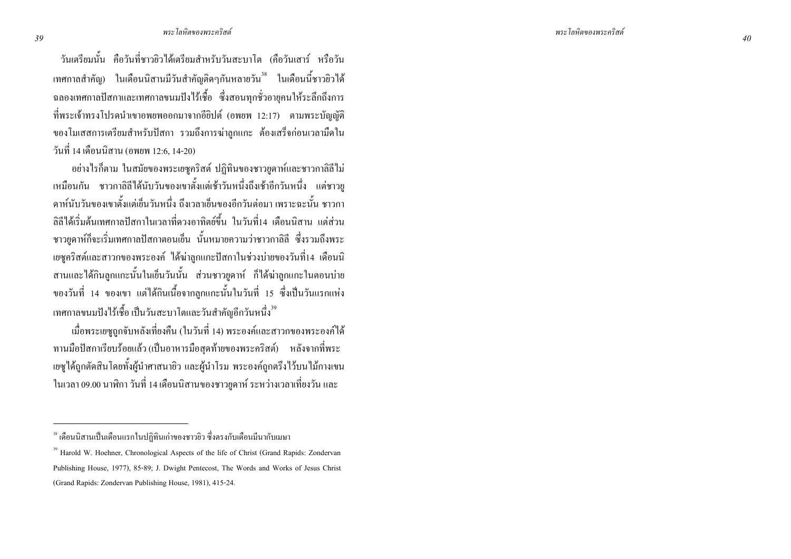้วันเตรียมนั้น คือวันที่ชาวยิวได้เตรียมสำหรับวันสะบาโต (คือวันเสาร์ หรือวัน ี เทศกาลสำคัญ) ในเดือนนิสานมีวันสำคัญติดๆกันหลายวัน<sup>38</sup> ในเดือนนี้ชาวยิวได้ ฉลองเทศกาลปัสกาและเทศกาลขนมปังไร้เชื้อ ซึ่งสอนทุกชั่วอาขุคนให้ระลึกถึงการ ที่พระเจ้าทรงโปรคนำเขาอพยพออกมาจากอียิปต์ (อพยพ 12:17) ตามพระบัญญัติ ของโมเสสการเตรียมสำหรับปัสกา รวมถึงการฆ่าลูกแกะ ต้องเสร็จก่อนเวลามืดใน วันที่ 14 เดือนนิสาน (อพยพ 12:6, 14-20)

อย่างไรก็ตาม ในสมัยของพระเยซูคริสต์ ปฏิทินของชาวยูคาห์และชาวกาลิลีไม่ เหมือนกัน ชาวกาลิลีได้นับวันของเขาตั้งแต่เช้าวันหนึ่งกืงเช้าอีกวันหนึ่ง แต่ชาวขู คาห์นับวันของเขาตั้งแต่เข็นวันหนึ่ง ถึงเวลาเข็นของอีกวันต่อมา เพราะฉะนั้น ชาวกา ลิลีได้เริ่มต้นเทศกาลปัสกาในเวลาที่ดวงอาทิตย์ขึ้น ในวันที่14 เดือนนิสาน แต่ส่วน ชาวขูดาห์ก็จะเริ่มเทศกาลปัสกาตอนเข็น นั้นหมายความว่าชาวกาลิลี ซึ่งรวมถึงพระ เยซูกริสต์และสาวกของพระองค์ ได้ฆ่าลูกแกะปัสกาในช่วงบ่ายของวันที่14 เดือนนิ สานและได้กินลูกแกะนั้นในเข็นวันนั้น ส่วนชาวขูดาห์ ก็ได้ฆ่าลูกแกะในตอนบ่าย ของวันที่ 14 ของเขา แต่ได้กินเนื้อจากลูกแกะนั้นในวันที่ 15 ซึ่งเป็นวันแรกแห่ง เทศกาลขนมปังไร้เชื้อ เป็นวันสะบาโตและวันสำคัญอีกวันหนึ่ง<sup>39</sup>

เมื่อพระเยซูถูกจับหลังเที่ยงคืน (ในวันที่ 14) พระองค์และสาวกของพระองค์ใด้ ทานมือปัสกาเรียบร้อยแล้ว (เป็นอาหารมือสุดท้ายของพระคริสต์) หลังจากที่พระ เยซูได้ถูกตัดสินโดยทั้งผู้นำศาสนายิว และผู้นำโรม พระองค์ถูกตรึงไว้บนไม้กางเขน ในเวลา 09.00 นาฬิกา วันที่ 14 เคือนนิสานของชาวยูคาห์ ระหว่างเวลาเที่ยงวัน และ

 $^{\rm 38}$ เดือนนิสานเป็นเดือนแรกในปฏิทินเก่าของชาวยิว ซึ่งตรงกับเดือนมีนากับเมษา

<sup>&</sup>lt;sup>39</sup> Harold W. Hoehner, Chronological Aspects of the life of Christ (Grand Rapids: Zondervan Publishing House, 1977), 85-89; J. Dwight Pentecost, The Words and Works of Jesus Christ (Grand Rapids: Zondervan Publishing House, 1981), 415-24.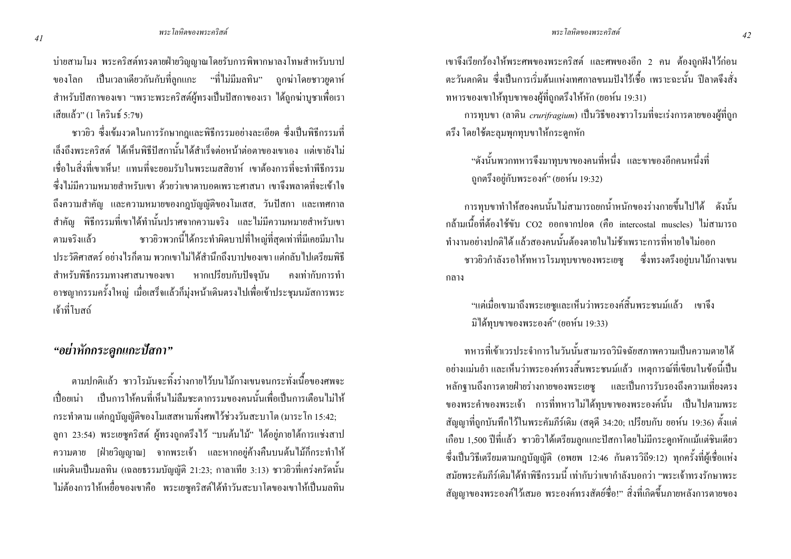บ่ายสามโมง พระคริสต์ทรงตายฝ่ายวิญญาณโดยรับการพิพากษาลงโทษสำหรับบาป ี ของโลก เป็นเวลาเดียวกันกับที่ลกแกะ "ที่ไม่มีมลทิน" ถกฆ่าโดยชาวยดาห์ ่ สำหรับปัสกาของเขา "เพราะพระคริสต์ผ้ทรงเป็นปัสกาของเรา ได้ถกฆ่าบชาเพื่อเรา เสียแล้ว" (1 โคริบธ์ ร.7ข)

ี ชาวยิว ซึ่งเข้มงวดในการรักษากฎและพิธีกรรมอย่างละเอียด ซึ่งเป็นพิธีกรรมที่ ้เล็งถึงพระคริสต์ "ได้เห็บพิธีปัสกาบั้น"ได้สำเร็จต่อหบ้าต่อตาของเขาเอง แต่เขายัง"ไม่ ้เชื่อในสิ่งที่เขาเห็น! แทนที่จะยอมรับในพระเมสสิยาห์ เขาต้องการที่จะทำพีธีกรรม ี่ ซึ่งไม่มีความหมายสำหรับเขา ด้วยว่าเขาตาบอดเพราะศาสนา เขาจึงพลาดที่จะเข้าใจ ้ถึงความสำคัญ และความหมายของกฎบัญญัติของโมเสส, วันปัสกา และเทศกาล ี สำคัญ พิธีกรรมที่เขาใด้ทำนั้นปราศจากความจริง และใม่มีความหมายสำหรับเขา ชาวยิวพวกนี้ได้กระทำผิดบาปที่ใหญ่ที่สุดเท่าที่มีเคยมีมาใน ตามจริงแล้ว ำโระวัติศาสตร์ อย่างไรก็ตาม พวกเขาไม่ได้สำนึกถึงบาปของเขา แต่กลับไปเตรียมพิธี สำหรับพิธีกรรมทางศาสนาของเขา หากเปรียบกับปัจจุบัน ้ คงเท่ากับการทำ ้อาชญากรรมครั้งใหญ่ เมื่อเสร็งแล้วก็มุ่งหน้าเดินตรงไปเพื่อเข้าประชุมนมัสการพระ เจ้าที่โบสถ์

#### "อย่าหักกระดูกแกะปัสกา"

ิตามปกติแล้ว ชาวโรมันจะทิ้งร่างกายไว้บนไม้กางเขนจนกระทั่งเนื้อของศพจะ ้เปื้อยเน่า เป็นการให้คนที่เห็นไม่ลืมชะตากรรมของคนนั้นเพื่อเป็นการเตือนไม่ให้ ึกระทำตาม แต่กฎบัญญัติของโมเสสหามทิ้งศพไว้ช่วงวันสะบาโต (มาระโก 15:42; ิลูกา 23:54) พระเยซุคริสต์ ผู้ทรงถูกตรึงไว้ "บนต้นไม้" ได้อยู่ภายใต้การแช่งสาป ่ ความตาย [ฝ่ายวิญญาณ] จากพระเจ้า และหากอยู่ค้างคืนบนต้นไม้ก็กระทำให้ แผ่นดินเป็นมลทิน (เฉลยธรรมบัญญัติ 21:23; กาลาเทีย 3:13) ชาวยิวที่เคร่งครัดนั้น ใม่ต้องการให้เหชื่อของเขาคือ พระเยซูคริสต์ใด้ทำวันสะบาโตของเขาให้เป็นมลทิน เขาจึงเรียกร้องให้พระศพของพระคริสต์ และศพของอีก 2 คน ต้องถูกฝังไว้ก่อน ี ตะวันตกดิน ซึ่งเป็นการเริ่มต้นแห่งเทศกาลขนมปังไร้เชื้อ เพราะฉะนั้น ปีลาตจึงสั่ง ทหารของเขาให้ทบขาของผู้ที่ถกตรึงให้หัก (ยอห์น 19:31)

ิ การทุบขา (ลาติน *crurifragium*) เป็นวิธีของชาวโรมที่จะเร่งการตายของผู้ที่ถูก ้ตรึง โดยใช้ตะลุมพุกทุบขาให้กระดูกหัก

"ดังนั้นพวกทหารจึงมาทบขาของคนที่หนึ่ง และขาของอีกคนหนึ่งที่ ถูกตรึงอยู่กับพระองค์" (ยอห์น 19:32)

ิ การทุบขาทำให้สองคนนั้นไม่สามารถยกน้ำหนักของร่างกายขึ้นไปได้ ดังนั้น ึกล้ามเนื้อที่ต้องใช้ขับ CO2 ออกจากปอด (คือ intercostal muscles) ไม่สามารถ ทำงานอย่างปกติได้ แล้วสองคนนั้นต้องตายในไม่ช้าเพราะการที่หายใจไม่ออก ี ชาวยิวกำลังรอให้ทหารโรมทุบขาของพระเยซู ซึ่งทรงตรึงอยู่บนไม้กางเขน ึกลาง

"แต่เมื่อเขามาถึงพระเยซูและเห็นว่าพระองค์สิ้นพระชนม์แล้ว เขาจึง มิได้ทบบาบองพระองค์" (ยอห์น 19:33)

ิทหารที่เข้าเวรประจำการในวันนั้นสามารถวินิจฉัยสภาพความเป็นความตายได้ ่ อย่างแม่นยำ และเห็นว่าพระองค์ทรงสิ้นพระชนม์แล้ว เหตุการณ์ที่เขียนในข้อนี้เป็น หลักจานถึงการตายฝ่ายร่างกายของพระเยซ และเป็นการรับรองถึงความเที่ยงตรง ี ของพระคำของพระเจ้า การที่ทหารไม่ได้ทุบขาของพระองค์นั้น เป็นไปตามพระ ี สัญญาที่ถูกบันทึกไว้ในพระคัมภีร์เดิม (สดุดี 34:20; เปรียบกับ ยอห์น 19:36) ตั้งแต่ ้เกือบ 1,500 ปีที่แล้ว ชาวยิวได้เตรียมลูกแกะปัสกาโดยไม่มีกระดูกหักแม้แต่ชินเดียว ซึ่งเป็นวิธีเตรียมตามกฎบัญญัติ (อพยพ 12:46 กันดารวิถี9:12) ทุกครั้งที่ผู้เชื่อแห่ง ิสมัยพระดับกีร์เดิบได้ทำพิธีกรรมบี้ เท่ากับว่าเขากำลังบอกว่า "พระเจ้าทรงรักษาพระ สัญญาของพระองค์ไว้เสมอ พระองค์ทรงสัตย์ซื่อ!" สิ่งที่เกิดขึ้นภายหลังการตายของ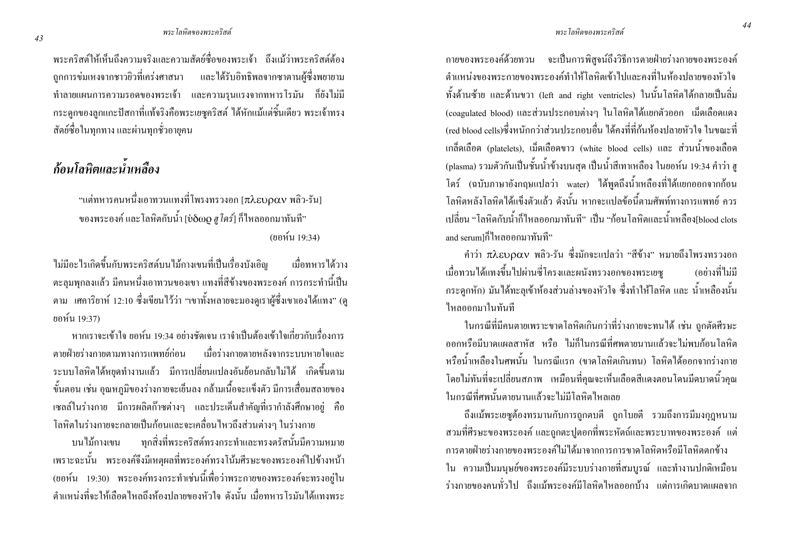ี พระคริสต์ให้เห็นถึงความจริงและความสัตย์ซื้อของพระเจ้า ถึงแม้ว่าพระคริสต์ต้อง ิ ถกการข่มเหงจากชาวยิวที่เคร่งศาสนา และได้รับอิทธิพลจากซาตานผู้ซึ่งพยายาม ้ ทำลายแผนการความรอดของพระเจ้า และความรุนแรงจากทหารโรมัน ก็ยังไม่มี ึกระดูกของลูกแกะปัสกาที่แท้จริงคือพระเยซูคริสต์ ได้หักแม้แต่ชิ้นเดียว พระเจ้าทรง ้สัตย์ซื้อในทุกทาง และผ่านทุกชั่วอายุคน

## ก้อนโลหิตและน้ำเหลือง

"แต่ทหารคนหนึ่งเอาทวนแทงที่โพรงทรวงอก [ $\pi$ λ $\epsilon$ บ $\rho\alpha$ v พลิว-รัน] ึ ของพระองค์ และโลหิตกับน้ำ [บ่ $\delta$ ωo ฮ โคร์| ก็ไหลออกมาทันที่" (ยอห์น 19:34)

ไม่มีอะไรเกิดขึ้นกับพระคริสต์บนไม้กางเขนที่เป็นเรื่องบังเอิญ ้เมื่อทหารได้วาง ี ตะลุมพุกลงแล้ว มีคนหนึ่งเอาทวนของเขา แทงที่สีข้างของพระองค์ การกระทำนี้เป็น ี ตาม เศการิยาห์ 12:10 ซึ่งเขียน ไว้ว่า "เขาทั้งหลายจะมองดูเราผู้ซึ่งเขาเอง ได้แทง" (ดู ยอห์น 19:37)

หากเราจะเข้าใจ ยอห์น 19:34 อย่างชัดเจน เราจำเป็นต้องเข้าใจเกี่ยวกับเรื่องการ ตายฝ่ายร่างกายตามทางการแพทย์ก่อบ เมื่อร่างกายตายหลังจากระบบหายใจและ ี ระบบโลหิตใด้หยุดทำงานแล้ว มีการเปลี่ยนแปลงอันย้อนกลับไม่ได้ เกิดขึ้นตาม ์ ขั้นตอน เช่น อุณหภูมิของร่างกายจะเย็นลง กล้ามเนื้อจะแข็งตัว มีการเสื่อมสลายของ ้ เซลล์ในร่างกาย มีการผลิตก๊าซต่างๆ และประเด็นสำคัญที่เรากำลังศึกษาอย่ คือ โลหิตในร่างกายจะกลายเป็นก้อนและจะเคลื่อนใหวถึงส่วนต่างๆ ในร่างกาย

บนไม้กางเขน ทุกสิ่งที่พระคริสต์ทรงกระทำและทรงตรัสนั้นมีความหมาย ้ เพราะฉะนั้น พระองค์จึงมีเหตุผลที่พระองค์ทรงโน้มศีรษะของพระองค์ไปข้างหน้า (ยอห์น 19:30) พระองค์ทรงกระทำเช่นนี้เพื่อว่าพระกายของพระองค์จะทรงอยู่ใน ้ตำแหน่งที่จะให้เลือดใหลถึงห้องปลายของหัวใจ ดังนั้น เมื่อทหารโรมันได้แทงพระ ิกายของพระองค์ด้วยทวน จะเป็นการพิสจน์ถึงวิธีการตายฝ่ายร่างกายของพระองค์ ้ตำแหน่งของพระกายของพระองค์ทำให้โลหิตเข้าไปและคงที่ในห้องปลายของหัวใจ ทั้งด้านซ้าย และด้านขวา (left and right ventricles) ในนั้นโลหิตได้กลายเป็นลิ่ม (coagulated blood) และส่วนประกอบต่างๆ ในโลหิตได้แยกตัวออก เม็ดเลือดแดง (red blood cells)ซึ่งหนักกว่าส่วนประกอบอื่น ได้คงที่ที่ก้นห้องปลายหัวใจ ในขณะที่ เกล็ดเลือด (platelets), เม็ดเลือดขาว (white blood cells) และ ส่วนน้ำของเลือด (plasma) รวมตัวกันเป็นชั้นน้ำข้างบนสุด เป็นน้ำสีเทาเหลือง ในยอห์น 19:34 คำว่า ฮู โคร์ (ฉบับภาษาอังกฤษแปลว่า water) ใค้พูคถึงน้ำเหลืองที่ได้แยกออกจากก้อน โลหิตหลังโลหิตได้แข็งตัวแล้ว ดังนั้น หากจะแปลข้อนี้ตามศัพท์ทางการแพทย์ ควร ู้ เปลี่ยน "โลหิตกับน้ำก็ไหลออกมาทันที" เป็น "ก้อนโลหิตและน้ำเหลือง[blood clots and serumlก็ไหลออกมาทันที"

ึคำว่า πλευραν พลิว-รัน ซึ่งมักจะแปลว่า "สีข้าง" หมายถึงโพรงทรวงอก เมื่อทวนได้แทงขึ้นไปผ่านซี่โครงและผนังทรวงอกของพระเยซ ้ (อย่างที่ไม่มี ึกระดูกหัก) มันได้ทะลุเข้าห้องส่วนล่างของหัวใจ ซึ่งทำให้โลหิต และ น้ำเหลืองนั้น ใหลออกมาในทันที

ในกรณีที่มีคนตายเพราะขาดโลหิตเกินกว่าที่ร่างกายจะทนได้ เช่น ถูกตัดศีรษะ ้ออกหรือมีบาดแผลสาหัส หรือ ไม่ก็ในกรณีที่ศพตายนานแล้วจะไม่พบก้อนโลหิต หรือน้ำเหลืองในศพนั้น ในกรณีแรก (ขาดโลหิตเกินทน) โลหิตได้ออกจากร่างกาย โดยไม่ทันที่จะเปลี่ยนสภาพ เหมือนที่คุณจะเห็นเลือดสีแดงตอนโดนมีดบาดนิ้วคุณ ใบกรณีที่ศพบั้นตายบาบแล้วจะไบ่บีโลหิตใหลเลย

ถึงแม้พระเยซูต้องทรมานกับการถูกตบตี ถูกโบยตี รวมถึงการมีมงกุฎหนาม ิ สวมที่ศีรษะของพระองค์ และถูกตะปูตอกที่พระหัตถ์และพระบาทของพระองค์ แต่ ิการตายฝ่ายร่างกายของพระองค์ใม่ได้มาจากการการขาดโลหิตหรือมีโลหิตตกข้าง ใน ความเป็นมนุษย์ของพระองค์มีระบบร่างกายที่สมบูรณ์ และทำงานปกติเหมือน ้ร่างกายของคนทั่วไป ถึงแม้พระองค์มีโลหิตไหลออกบ้าง แต่การเกิดบาดแผลจาก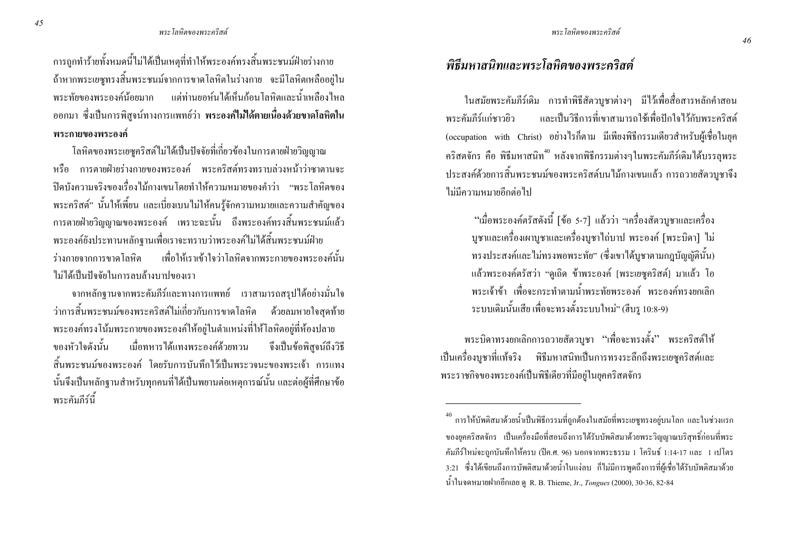การถูกทำร้ายทั้งหมดนี้ไม่ได้เป็นเหตุที่ทำให้พระองค์ทรงสิ้นพระชนม์ฝ่ายร่างกาย ถ้าหากพระเยซูทรงสิ้นพระชนม์จากการขาคโลหิตในร่างกาย จะมีโลหิตเหลืออยู่ใน พระทัยของพระองค์น้อยมาก แต่ท่านยอห์นได้เห็นก้อนโลหิตและน้ำเหลืองไหล ออกมา ซึ่งเป็นการพิสูจน์ทางการแพทย์ว่า พระองค์ใม่ใด้ตายเนื่องด้วยขาดโลหิตใน พระกายของพระองค์

โลหิตของพระเยซูคริสต์ใม่ใด้เป็นปัจจัยที่เกี่ยวข้องในการตายฝ่ายวิญญาณ หรือ การตายฝ่ายร่างกายของพระองค์ พระคริสต์ทรงทราบล่วงหน้าว่าซาตานจะ ปีดบังความจริงของเรื่องไม้กางเขน โดยทำให้ความหมายของคำว่า "พระ โลหิตของ พระคริสต์" นั้นให้เพี้ยน และเบี่ยงเบนไม่ให้คนรู้จักความหมายและความสำคัญของ การตายฝ่ายวิญญาณของพระองค์ เพราะฉะนั้น ถึงพระองค์ทรงสิ้นพระชนม์แล้ว พระองค์ยังประทานหลักฐานเพื่อเราจะทราบว่าพระองค์ใม่ได้สิ้นพระชนม์ฝ่าย ร่างกายจากการขาดโลหิต เพื พื่อให้เราเข้าใจว่าโลหิตจากพระกายของพระองค์นั้น ใม่ได้เป็นปัจจัยในการลบล้างบาปของเรา

จากหลักฐานจากพระคัมภีร์และทางการแพทย์ เราสามารถสรุปได้อย่างมั่นใจ ว่าการสิ้นพระชนม์ของพระคริสต์ใม่เกี่ยวกับการข ด้วยลมหายใจสดท้าย พระองค์ทรงโน้มพระกายของพระองค์ให้อยู่ในตำแหน่งที่ให้โลหิตอยู่ที่ห้องปลาย ์<br>ของหัวใจดังบั้บ องหัวใจคังนั้น เมื่อทหารได้แทงพระองค์ด้วยทวน จึงเป็นข้ ข้อพิสูจน์ถึงวิธี สิ้นพระชนม์ของพระองค์ โดยรับการบันทึกไว้เป็นพระวจนะของพระเจ้า การแทง นั้นจึงเป็นหลักฐานสำหรับทุกคนที่ได้เป็นพยานต่อเหตุการณ์นั้น และต่อผู้ที่ศึกษาข้อ พระคัมภีร์นี้

### พิธีมหาสนิทและพระโลหิตของพระคริสต์

ในสมัยพระคัมภีร์เดิม การทำพิธีสัตวบูชาต่างๆ มีไว้เพื่อสื่อสารหลักคำสอน ระคัมภีร์แก่ชาวยิว และเป็นวิธีการที่เขาสามารถใช้เพื่อปักใจไว้กับพระคริสต์ พระคัมกีร์แก่หาวยิว (occupation with Christ) อย่างไรก็ตาม มีเพียงพิธีกรรมเดียวสำหรับผู้เชื่อในยุค คริสตจักร คือ พิธีมหาสนิท<sup>40</sup> หลังจากพิธีกรรมต่างๆในพระคัมภีร์เดิมใด้บรรลุพระ ประสงค์ด้วยการสิ้นพระชนม์ของพระคริสต์บนไม้กางเขนแล้ว การถวายสัตวบูชาจึง ้ไม่มีความหมายอีกต่อไป

้ "เมื่อพระองค์ตรัสดังนี้ [ข้อ 5-7] แล้วว่า "เครื่องสัตวบูชาและเครื่อง บูชาและเครื่องเผาบูชาและเครื่องบูชาไถ่บาป พระองค์ [พระบิดา] ไม่ ทรงประสงค์และไม่ทรงพอพระทัย" (ซึ่งเขาได้บูชาตามกฎบัญญัตินั้น) แล้วพระองค์ตรัสว่า "ดูเถิด ข้าพระองค์ [พระเยซูคริสต์] มาแล้ว โอ พระเจ้าข้า เพื่อจะกระทำตามน้ำพระทัยพระองค์ พระองค์ทรงยกเลิก ระบบเคิมนั้นเสีย เพื่อจะทรงตั้งระบบใหม่" (ฮีบรู 10:8-9)

พระบิดาทรงยกเลิกการถวายสัตวบูชา "เพื่อจะทรงตั้ง" พระคริสต์ให้ เป็นเครื่องบูชาที่แท้จริง พิธีมหาสนิทเป็นการทรงระลึกถึงพระเยซูคริสต์และ พระราชกิจของพระองค์เป็นพิธีเดียวที่มีอยู่ในยุคคริสตจักร

 $^{40}$  การให้บัพติสมาด้วยน้ำเป็นพิธีกรรมที่ถูกต้องในสมัยที่พระเยซูทรงอยู่บนโลก และในช่วงแรก ของยุคคริสตจักร เป็นเครื่องมือที่สอนถึงการได้รับบัพติสมาด้วยพระวิญญาณบริสุทธิ์ก่อนที่พระ คัมภีร์ใหม่จะถูกบันทึกให้ครบ (ปีค.ศ. 96) นอกจากพระธรรม 1 โครินธ์ 1:14-17 และ 1 เปโตร 3:21 ซึ่งได้เขียนถึงการบัพติสมาค้วยน้ำในแง่ลบ ก็ไม่มีการพูดถึงการที่ผู้เชื่อได้รับบัพติสมาด้วย น้ำในจดหมายฝากอีกเลย ดู R. B. Thieme, Jr., Tongues (2000), 30-36, 82-84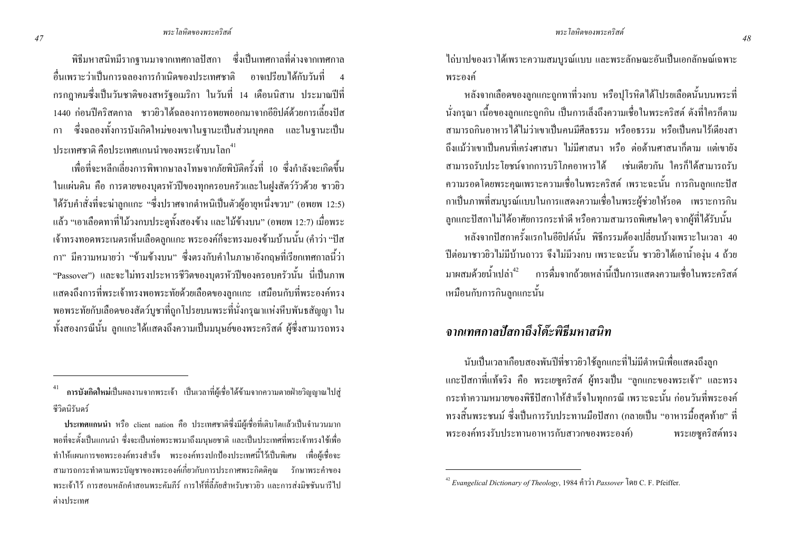้พิธีมหาสนิทมีรากฐานมาจากเทศกาลปัสกา ซึ่งเป็นเทศกาลที่ต่างจากเทศกาล ้ลื่บเพราะว่าเป็นการฉลองการกำเนิดของประเทศชาติ อาจเปรียบได้กับวันที่ ิกรกฎาคมซึ่งเป็นวันชาติของสหรัฐอเมริกา ในวันที่ 14 เดือนนิสาน ประมาณปีที่ ่ 1440 ก่อนปีคริสตกาล ชาวยิวได้ฉลองการอพยพออกมาจากอียิปต์ด้วยการเลี้ยงปัส ี่ ซึ่งฉลองทั้งการบังเกิดใหม่ของเขาในฐานะเป็นส่วนบคคล และในฐานะเป็น ุกา ้ำโระเทศชาติ คือประเทศแกบบำของพระเจ้าบบโลก<sup>41</sup>

ูเพื่อที่จะหลีกเลี่ยงการพิพากษาลงโทษจากภัยพิบัติครั้งที่ 10 ซึ่งกำลังจะเกิดขึ้น ในแผ่นดิน คือ การตายของบุตรหัวปีของทุกครอบครัวและในฝูงสัตว์วัวด้วย ชาวยิว ใค้รับคำสั่งที่จะฆ่าลูกแกะ "ซึ่งปราศจากตำหนิเป็นตัวผู้อายุหนึ่งขวบ" (อพยพ 12:5) แล้ว "เอาเลือดทาที่ไม้วงกบประตูทั้งสองข้าง และไม้ข้างบน" (อพยพ 12:7) เมื่อพระ เจ้าทรงทอดพระเนตรเห็นเลือดลูกแกะ พระองค์ก็จะทรงมองข้ามบ้านนั้น (คำว่า "ปัส ่ กา" มีความหมายว่า "ข้ามข้างบน" ซึ่งตรงกับคำในภาษาอังกถษที่เรียกเทศกาลนี้ว่า "Passover") และจะไม่ทรงประหารชีวิตของบุตรหัวปีของครอบครัวนั้น นี่เป็นภาพ แสดงถึงการที่พระเจ้าทรงพอพระทัยด้วยเลือดของลูกแกะ เสมือนกับที่พระองค์ทรง ี พอพระทัยกับเลือดของสัตว์บชาที่ถกโปรยบนพระที่นั่งกรณาแห่งหีบพันธสัญญา ใน ้ทั้งสองกรณีนั้น ลกแกะได้แสดงถึงความเป็นมนุษย์ของพระคริสต์ ผู้ซึ่งสามารถทรง

ใถ่บาปของเราได้เพราะความสมบรณ์แบบ และพระลักษณะอันเป็นเอกลักษณ์เฉพาะ พระองค์

หลังจากเลือดของลูกแกะถูกทาที่วงกบ หรือปุโรหิตได้โปรยเลือดนั้นบนพระที่ ้นั่งกรณา เนื้อของลกแกะถกกิน เป็นการเล็งถึงความเชื่อในพระคริสต์ ดังที่ใครก็ตาม ่ สามารถกินอาหารได้ไม่ว่าเขาเป็นคนมีศีลธรรม หรืออธรรม หรือเป็นคนไร้เดียงสา ้ถึงแม้ว่าเขาเป็นคนที่เคร่งศาสนา ไม่มีศาสนา หรือ ต่อต้านศาสนาก็ตาม แต่เขายัง ี่ สามารถรับประโยชน์จากการบริโภคอาหารได้ เช่นเดียวกัน ใครก็ได้สามารถรับ ี ความรอดโดยพระคณเพราะความเชื่อในพระคริสต์ เพราะฉะนั้น การกินลกแกะปัส ึกาเป็นภาพที่สมบูรณ์แบบในการแสดงความเชื่อในพระผู้ช่วยให้รอด เพราะการกิน ิลกแกะปัสกาไม่ได้อาศัยการกระทำดี หรือความสามารถพิเศษใดๆ จากผู้ที่ได้รับนั้น หลังจากปัสกาครั้งแรกในอียิปต์นั้น พิธีกรรมต้องเปลี่ยนบ้างเพราะในเวลา 40 ้ ปีต่อมาชาวยิวไม่มีบ้านถาวร จึงไม่มีวงกบ เพราะฉะนั้น ชาวยิวได้เอาน้ำองุ่น 4 ถ้วย ิมาผสมด้วยน้ำเปล่า<sup>42</sup> การคื่มจากถ้วยเหล่านี้เป็นการแสดงความเชื่อในพระคริสต์

จากเทศกาลปัสกาถึงโต๊ะพิธีมหาสนิท

เหมือนกับการกินลูกแกะนั้น

้ นับเป็นเวลาเกือบสองพันปีที่ชาวยิวใช้ลูกแกะที่ไม่มีตำหนิเพื่อแสดงถึงลูก แกะปัสกาที่แท้จริง คือ พระเยซูคริสต์ ผู้ทรงเป็น "ถูกแกะของพระเจ้า" และทรง ี กระทำความหมายของพิธีปัสกาให้สำเร็จในทุกกรณี เพราะฉะนั้น ก่อนวันที่พระองค์ ี ทรงสิ้นพระชนม์ ซึ่งเป็นการรับประทานมือปัสกา (กลายเป็น "อาหารมื้อสุดท้าย" ที่ พระองค์ทรงรับประทานอาหารกับสาวกของพระองค์) พระเยซคริสต์ทรง

<sup>่</sup> การบังเกิดใหม่เป็นผลงานจากพระเจ้า เป็นเวลาที่ผู้เชื่อได้ข้ามจากความตายฝ่ายวิญญาณไปสู่ ชีวิตบิรับดร์

ประเทศแกนนำ หรือ client nation คือ ประเทศชาติซึ่งมีผู้เชื่อที่เติบโตแล้วเป็นจำนวนมาก พอที่จะตั้งเป็นแกนนำ ซึ่งจะเป็นท่อพระพรมาถึงมนษยชาติ และเป็นประเทศที่พระเจ้าทรงใช้เพื่อ ทำให้แผนการขอพระองค์ทรงสำเร็จ พระองค์ทรงปกป้องประเทศนี้ไว้เป็นพิเศษ เพื่อผู้เชื้อจะ ิ สามารถกระทำตามพระบัญชาของพระองค์เกี่ยวกับการประกาศพระกิตติคุณ รักษาพระคำของ ี พระเจ้าไว้ การสอนหลักคำสอนพระคัมภีร์ การให้ที่ลี้ภัยสำหรับชาวยิว และการส่งมิชชันนารีไป ต่างประเทศ

<sup>&</sup>lt;sup>42</sup> Evangelical Dictionary of Theology, 1984 คำว่า Passover โดย C. F. Pfeiffer.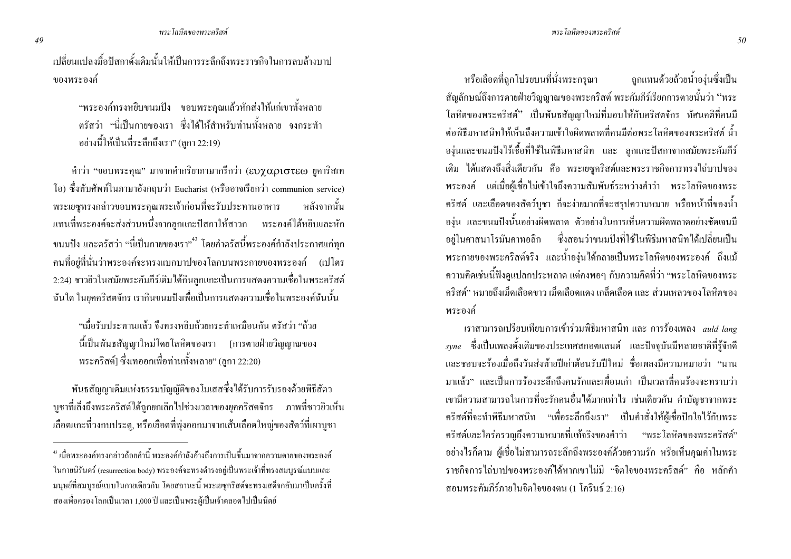เปลี่ยนแปลงมื้อปัสกาดั้งเดิมนั้นให้เป็นการระลึกถึงพระราชกิจในการลบล้างบาป ของพระองค์

"พระองค์ทรงหยิบขนมปัง ขอบพระคุณแล้วหักส่งให้แก่เขาทั้งหลาย ตรัสว่า "นี่เป็นกายของเรา ซึ่งได้ให้สำหรับท่านทั้งหลาย จงกระทำ อย่างนี้ให้เป็นที่ระลึกถึงเรา" (ลกา 22:19)

กำว่า "ขอบพระคุณ" มาจากกำกริยาภาษากรีกว่า (ευχαριστεω ยูการิสเท โอ) ซึ่งทับศัพท์ในภาษาอังกฤษว่า Eucharist (หรืออาจเรียกว่า communion service) พระเยซูทรงกล่าวขอบพระคุณพระเจ้าก่อนที่จะรับประทานอาหาร หลังจากนั้น แทนที่พระองค์จะส่งส่วนหนึ่งจากลูกแกะปัสกาให้สาวก พระองค์ได้หยิบและหัก ขนมปัง และตรัสว่า "นี่เป็นกายของเรา"<sup>43</sup> โดยคำตรัสนี้พระองค์กำลังประกาศแก่ทุก คนที่อยู่ที่นั่นว่าพระองค์จะทรงแบกบาปของโลกบนพระกายของพระองค์ (เปโตร 2:24) ชาวยิวในสมัยพระคัมภีร์เดิมใด้กินลูกแกะเป็นการแสดงความเชื่อในพระคริสต์ ฉันใด ในขุคคริสตจักร เรากินขนมปังเพื่อเป็นการแสดงความเชื่อในพระองค์ฉันนั้น

"เมื่อรับประทานแล้ว จึงทรงหยิบถ้วยกระทำเหมือนกัน ตรัสว่า "ถ้วย นี้เป็นพันธสัญญาใหม่โดยโลหิตของเรา [การตายฝ่ายวิญญาณของ พระคริสต์] ซึ่งเทออกเพื่อท่านทั้งหลาย" (ลูกา 22:20)

พันธสัญญาเดิมแห่งธรรมบัญญัติของโมเสสซึ่งใค้รับการรับรองค้วยพิธีสัตว บูชาที่เล็งถึงพระคริสต์ได้ถูกยกเลิกไปช่วงเวลาของยุคคริสตจักร ภาพที่ชาวยิวเห็น เลือดแกะที่วงกบประตู, หรือเลือดที่พุ่งออกมาจากเส้นเลือดใหญ่ของสัตว์ที่เผาบูชา

หรือเลือดที่ถกโปรยบนที่นั่งพระกรณา ิ ถกแทนด้วยถ้วยน้ำอง่นซึ่งเป็น สัญลักษณ์ถึงการตายฝ่ายวิญญาณของพระคริสต์ พระคัมภีร์เรียกการตายนั้นว่า "พระ โลหิตของพระคริสต์'' เป็นพันธสัญญาใหม่ที่มอบให้กับคริสตจักร ทัศนคติที่คนมี ต่อพิธีมหาสนิทให้เห็นถึงความเข้าใจผิดพลาดที่คนมีต่อพระ โลหิตของพระคริสต์ น้ำ องุ่นและขนมปังไร้เชื้อที่ใช้ในพิธีมหาสนิท และ ลูกแกะปัสกาจากสมัยพระคัมภีร์ \$ 1\$2)\$\$&ก" 
 -9(
 )-.ก/ก1+0 พระองค์ แต่เมื่อผู้เชื่อไม่เข้าใจถึงความสัมพันธ์ระหว่างคำว่า พระโลหิตของพระ คริสต์ และเลือดของสัตว์บูชา ก็จะง่ายมากที่จะสรุปความหมาย หรือหน้าที่ของน้ำ องุ่น และขนมปังนั้นอย่างผิดพลาด ตัวอย่างในการเห็นความผิดพลาดอย่างชัดเจนมี อยู่ในศาสนาโรมันคาทอลิก ซึ่งสอนว่าขนมปังที่ใช้ในพิธีมหาสนิทได้เปลี่ยนเป็น พระกายของพระคริสต์จริง และน้ำองุ่นได้กลายเป็นพระโลหิตของพระองค์ ถึงแม้ ความคิดเช่นนี้ฟังดูแปลกประหลาด แต่กงพอๆ กับความคิดที่ว่า "พระโลหิตของพระ คริสต์" หมายถึงเม็คเลือดขาว เม็คเลือดแคง เกล็ดเลือด และ ส่วนเหลวของโลหิตของ พระองค์

เราสามารถเปรียบเทียบการเข้าร่วมพิธีมหาสนิท และ การร้องเพลง *auld lang*  $_{sync}$  ซึ่งเป็นเพลงดั้งเดิมของประเทศสกอตแลนด์ และปัจจุบันมีหลายชาติที่รู้จักดี และชอบจะร้องเมื่อถึงวันส่งท้ายปีเก่าต้อนรับปีใหม่ ชื่อเพลงมีความหมายว่า "นาน มาแล้ว" และเป็นการร้องระลึกถึงคนรักและเพื่อนเก่า เป็นเวลาที่คนร้องจะทราบว่า เขามีความสามารถในการที่จะรักคนอื่นได้มากเท่าไร เช่นเดียวกัน คำบัญชาจากพระ คริสต์ที่จะทำพิธีมหาสนิท "เพื่อระลึกถึงเรา" เป็นคำสั่งให้ผู้เชื่อปักใจไว้กับพระ คริสต์และใคร่ครวญถึงความหมายที่แท้จริงของคำว่า "พระโลหิตของพระคริสต์" อย่างใรก็ตาม ผู้เชื่อไม่สามารถระลึกถึงพระองค์ด้วยความรัก หรือเห็นคุณค่าในพระ ราชกิจการไถ่บาปของพระองค์ได้หากเขาไม่มี "จิตใจของพระคริสต์" คือ หลักคำ สอนพระคัมภีร์ภายในจิตใจของตน (1 โครินธ์ 2:16)

<sup>&</sup>lt;sup>43</sup> เมื่อพระองค์ทรงกล่าวถ้อยคำนี้ พระองค์กำลังอ้างถึงการเป็นขึ้นมาจากความตายของพระองค์ ในกายนิรันคร์ (resurrection body) พระองค์จะทรงคำรงอยู่เป็นพระเจ้าที่ทรงสมบูรณ์แบบและ มนุษย์ที่สมบูรณ์แบบในกายเดียวกัน โดยสถานะนี้ พระเยซูคริสต์จะทรงเสด็จกลับมาเป็นครั้งที่ สองเพื่อครองโลกเป็นเวลา 1,000 ปี และเป็นพระผู้เป็นเจ้าตลอดไปเป็นนิตย์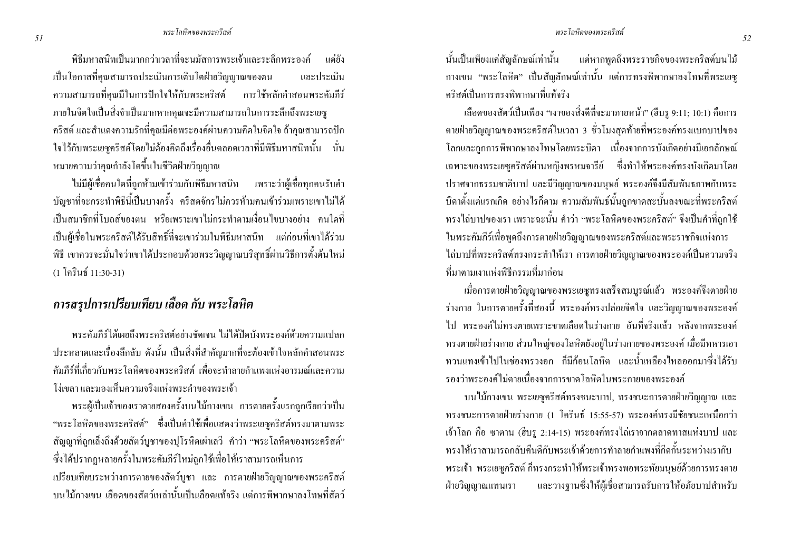พิธีบหาสบิทเป็บบากกว่าเวลาที่จะบบัสการพระเจ้าและระลึกพระองค์ บต่ยัง ้เป็นโอกาสที่คุณสามารถประเมินการเติบโตฝ่ายวิญญาณของตน และประเบิบ ี ความสามารถที่คุณมีในการปักใจให้กับพระคริสต์ การใช้หลักคำสอนพระคัมภีร์ ึภายในจิตใจเป็นสิ่งจำเป็นมากหากคณจะมีความสามารถในการระลึกถึงพระเยซ ี คริสต์ และสำแดงความรักที่คณมีต่อพระองค์ผ่านความคิดในจิตใจ ถ้าคณสามารถปัก ใจไว้กับพระเยซูกริสต์โดยไม่ต้องกิดถึงเรื่องอื่นตลอดเวลาที่มีพิธีมหาสนิทนั้น นั่น หมายความว่าคุณกำลังโตขึ้นในชีวิตฝ่ายวิญญาณ

ไม่มีผู้เชื้อคนใดที่ถกห้ามเข้าร่วมกับพิธีมหาสนิท เพราะว่าผู้เชื้อทกคนรับคำ ้ บัญชาที่จะกระทำพิธีนี้เป็นบางครั้ง คริสตจักรไม่ควรห้ามคนเข้าร่วมเพราะเขาไม่ได้ ้เป็นสมาชิกที่โบถส์ของตน หรือเพราะเขาไม่กระทำตามเงื่อนไขบางอย่าง คนใดที่ ้เป็นผู้เชื่อในพระคริสต์ได้รับสิทธิ์ที่จะเขาร่วมในพิธีมหาสนิท แต่ก่อนที่เขาได้ร่วม ้พิธี เขาควรจะมั่นใจว่าเขาใค้ประกอบด้วยพระวิญญาณบริสุทธิ์ผ่านวิธีการตั้งต้นใหม่ (1 โคริบ<sup>ส์</sup> 11·30-31)

## ิ การสรุปการเปรียบเทียบ เลือด กับ พระโลหิต

้ พระคัมภีร์ใค้เผยถึงพระคริสต์อย่างชัดเจน ไม่ได้ปิดบังพระองค์ด้วยความแปลก ประหลาดและเรื่องลึกลับ ดังนั้น เป็นสิ่งที่สำคัญมากที่จะต้องเข้าใจหลักคำสอนพระ ้ คับกีร์ที่เกี่ยวกับพระโลหิตของพระคริสต์ เพื่อจะทำลายกำแพงแห่งอารมณ์และอวาม โง่เขลา และมองเห็นความจริงแห่งพระคำของพระเจ้า

่ พระผู้เป็นเจ้าของเราตายสองครั้งบนไม้กางเขน การตายครั้งแรกถูกเรียกว่าเป็น "พระโลหิตของพระคริสต์" ซึ่งเป็นคำใช้เพื่อแสดงว่าพระเยซูคริสต์ทรงมาตามพระ ี สัญญาที่ถูกเล็งถึงด้วยสัตว์บูชาของปุโรหิตเผ่าเลวี คำว่า "พระ โลหิตของพระคริสต์" ซึ่งได้ปรากฏหลายครั้งในพระคัมภีร์ใหม่ถูกใช้เพื่อให้เราสามารถเห็นการ เปรียบเทียบระหว่างการตายของสัตว์บูชา และ การตายฝ่ายวิญญาณของพระคริสต์ ำเนไม้กางเขน เลือดของสัตว์เหล่านั้นเป็นเลือดแท้จริง แต่การพิพากษาลงโทษที่สัตว์ นั้นเป็นเพียงแค่สัญลักษณ์เท่านั้น แต่หากพดถึงพระราชกิจของพระคริสต์บนไม้ ี กางเขน "พระโลหิต" เป็นสัญลักษณ์เท่านั้น แต่การทรงพิพากษาลงโทษที่พระเยซู คริสต์เป็บการทรงพิพากษาที่แท้จริง

เลือดของสัตว์เป็นเพียง "เงาของสิ่งดีที่จะมาภายหน้า" (ฮีบร 9:11: 10:1) คือการ ิตายฝ่ายวิญญาณของพระคริสต์ในเวลา 3 ชั่วโมงสุดท้ายที่พระองค์ทรงแบกบาปของ ์ โลกและถูกการพิพากษาลงโทษโดยพระบิดา เนื่องจากการบังเกิดอย่างมีเอกลักษณ์ ี เฉพาะของพระเยซูคริสต์ผ่านหญิงพรหมจารีย์ ซึ่งทำให้พระองค์ทรงบังเกิดมาโดย ปราศจากธรรมชาติบาป และมีวิณณาณของมนุษย์ พระองค์จึงมีสัมพันธภาพกับพระ ี บิดาตั้งแต่แรกเกิด อย่างไรก็ตาม ความสัมพันธ์นั้นถูกขาดสะบั้นลงขณะที่พระคริสต์ ี ทรงไถ่บาปของเรา เพราะฉะนั้น คำว่า "พระโลหิตของพระคริสต์" จึงเป็นคำที่ถกใช้ ในพระคัมภีร์เพื่อพูดถึงการตายฝ่ายวิญญาณของพระคริสต์และพระราชกิจแห่งการ ใถ่บาปที่พระคริสต์ทรงกระทำให้เรา การตายฝ่ายวิญญาณของพระองค์เป็นความจริง ที่บาตาบเงาแห่งพิธีกรรบที่บาก่อบ

เมื่อการตายฝ่ายวิญญาณของพระเยซูทรงเสร็จสมบูรณ์แล้ว พระองค์จึงตายฝ่าย ้ร่างกาย ในการตายครั้งที่สองนี้ พระองค์ทรงปล่อยจิตใจ และวิญญาณของพระองค์ ไป พระองค์ไม่ทรงตายเพราะขาดเลือดในร่างกาย อันที่จริงแล้ว หลังจากพระองค์ ิทรงตายฝ่ายร่างกาย ส่วนใหญ่ของโลหิตยังอยู่ในร่างกายของพระองค์ เมื่อมีทหารเอา ่ ทวนแทงเข้าไปในช่องทรวงอก ก็มีก้อนโลหิต และน้ำเหลืองไหลออกมาซึ่งได้รับ ้ รองว่าพระองค์ใบ่ตายเบื่องจากการขาดโลหิตในพระกายของพระองค์

บนไม้กางเขน พระเยซูคริสต์ทรงชนะบาป, ทรงชนะการตายฝ่ายวิญญาณ และ ทรงชนะการตายฝ่ายร่างกาย (1 โครินธ์ 15:55-57) พระองค์ทรงมีชัยชนะเหนือกว่า ้เจ้าโลก คือ ซาตาน (ฮีบรู 2:14-15) พระองค์ทรงไถ่เราจากตลาดทาสแห่งบาป และ ทรงให้เราสามารถกลับคืนดีกับพระเจ้าด้วยการทำลายกำแพงที่กีดกั้นระหว่างเรากับ พระเจ้า พระเยซูคริสต์ ก็ทรงกระทำให้พระเจ้าทรงพอพระทัยมนุษย์ด้วยการทรงตาย และวางฐานซึ่งให้ผู้เชื้อสามารถรับการให้อภัยบาปสำหรับ ฝ่ายวิญญาณแทนเรา